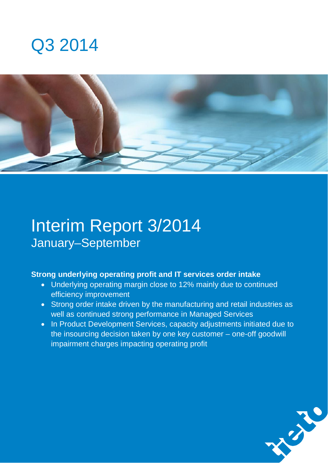



# Interim Report 3/2014 January–September

### **Strong underlying operating profit and IT services order intake**

- Underlying operating margin close to 12% mainly due to continued efficiency improvement
- Strong order intake driven by the manufacturing and retail industries as well as continued strong performance in Managed Services
- In Product Development Services, capacity adjustments initiated due to the insourcing decision taken by one key customer – one-off goodwill impairment charges impacting operating profit

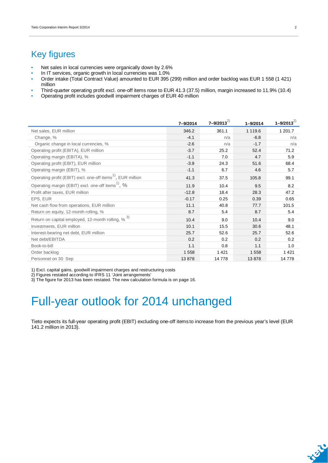## Key figures

- Net sales in local currencies were organically down by 2.6%
- In IT services, organic growth in local currencies was 1.0%
- Order intake (Total Contract Value) amounted to EUR 395 (299) million and order backlog was EUR 1 558 (1 421) million
- Third-quarter operating profit excl. one-off items rose to EUR 41.3 (37.5) million, margin increased to 11.9% (10.4)
- Operating profit includes goodwill impairment charges of EUR 40 million

|                                                                         | 7-9/2014 | $7 - 9/2013^{2}$ | $1 - 9/2014$ | $1 - 9/2013^{2}$ |
|-------------------------------------------------------------------------|----------|------------------|--------------|------------------|
| Net sales, EUR million                                                  | 346.2    | 361.1            | 1 1 1 9 .6   | 1 201.7          |
| Change, %                                                               | $-4.1$   | n/a              | $-6.8$       | n/a              |
| Organic change in local currencies, %                                   | $-2.6$   | n/a              | $-1.7$       | n/a              |
| Operating profit (EBITA), EUR million                                   | $-3.7$   | 25.2             | 52.4         | 71.2             |
| Operating margin (EBITA), %                                             | $-1.1$   | 7.0              | 4.7          | 5.9              |
| Operating profit (EBIT), EUR million                                    | $-3.9$   | 24.3             | 51.6         | 68.4             |
| Operating margin (EBIT), %                                              | $-1.1$   | 6.7              | 4.6          | 5.7              |
| Operating profit (EBIT) excl. one-off items <sup>1)</sup> , EUR million | 41.3     | 37.5             | 105.8        | 99.1             |
| Operating margin (EBIT) excl. one-off items <sup>1</sup> , %            | 11.9     | 10.4             | 9.5          | 8.2              |
| Profit after taxes, EUR million                                         | $-12.8$  | 18.4             | 28.3         | 47.2             |
| EPS, EUR                                                                | $-0.17$  | 0.25             | 0.39         | 0.65             |
| Net cash flow from operations, EUR million                              | 11.1     | 40.8             | 77.7         | 101.5            |
| Return on equity, 12-month rolling, %                                   | 8.7      | 5.4              | 8.7          | 5.4              |
| Return on capital employed, 12-month rolling, % 3)                      | 10.4     | 9.0              | 10.4         | 9.0              |
| Investments, EUR million                                                | 10.1     | 15.5             | 30.6         | 48.1             |
| Interest-bearing net debt, EUR million                                  | 25.7     | 52.6             | 25.7         | 52.6             |
| Net debt/EBITDA                                                         | 0.2      | 0.2              | 0.2          | 0.2              |
| Book-to-bill                                                            | 1.1      | 0.8              | 1.1          | 1.0              |
| Order backlog                                                           | 1558     | 1 4 2 1          | 1558         | 1421             |
| Personnel on 30 Sep                                                     | 13878    | 14778            | 13878        | 14 778           |

1) Excl. capital gains, goodwill impairment charges and restructuring costs

2) Figures restated according to IFRS 11 'Joint arrangements'

3) The figure for 2013 has been restated. The new calculation formula is on page 16.

# Full-year outlook for 2014 unchanged

Tieto expects its full-year operating profit (EBIT) excluding one-off items to increase from the previous year's level (EUR 141.2 million in 2013).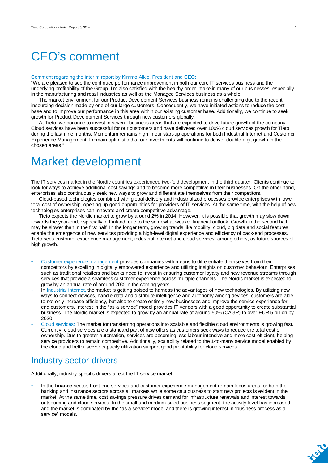# CEO's comment

#### Comment regarding the interim report by Kimmo Alkio, President and CEO:

"We are pleased to see the continued performance improvement in both our core IT services business and the underlying profitability of the Group. I'm also satisfied with the healthy order intake in many of our businesses, especially in the manufacturing and retail industries as well as the Managed Services business as a whole.

The market environment for our Product Development Services business remains challenging due to the recent insourcing decision made by one of our large customers. Consequently, we have initiated actions to reduce the cost base and to improve our performance in this area within our existing customer base. Additionally, we continue to seek growth for Product Development Services through new customers globally.

At Tieto, we continue to invest in several business areas that are expected to drive future growth of the company. Cloud services have been successful for our customers and have delivered over 100% cloud services growth for Tieto during the last nine months. Momentum remains high in our start-up operations for both Industrial Internet and Customer Experience Management. I remain optimistic that our investments will continue to deliver double-digit growth in the chosen areas."

## Market development

The IT services market in the Nordic countries experienced two-fold development in the third quarter. Clients continue to look for ways to achieve additional cost savings and to become more competitive in their businesses. On the other hand, enterprises also continuously seek new ways to grow and differentiate themselves from their competitors.

Cloud-based technologies combined with global delivery and industrialized processes provide enterprises with lower total cost of ownership, opening up good opportunities for providers of IT services. At the same time, with the help of new technologies enterprises can innovate and create competitive advantage.

Tieto expects the Nordic market to grow by around 2% in 2014. However, it is possible that growth may slow down towards the year-end, especially in Finland, due to the somewhat weaker financial outlook. Growth in the second half may be slower than in the first half. In the longer term, growing trends like mobility, cloud, big data and social features enable the emergence of new services providing a high-level digital experience and efficiency of back-end processes. Tieto sees customer experience management, industrial internet and cloud services, among others, as future sources of high growth.

- Customer experience management provides companies with means to differentiate themselves from their competitors by excelling in digitally empowered experience and utilizing insights on customer behaviour. Enterprises such as traditional retailers and banks need to invest in ensuring customer loyalty and new revenue streams through services that provide a seamless customer experience across multiple channels. The Nordic market is expected to grow by an annual rate of around 20% in the coming years.
- In Industrial internet, the market is getting poised to harness the advantages of new technologies. By utilizing new ways to connect devices, handle data and distribute intelligence and autonomy among devices, customers are able to not only increase efficiency, but also to create entirely new businesses and improve the service experience for end customers. Interest in the "as a service" model provides IT vendors with a good opportunity to create substantial business. The Nordic market is expected to grow by an annual rate of around 50% (CAGR) to over EUR 5 billion by 2020.
- Cloud services: The market for transferring operations into scalable and flexible cloud environments is growing fast. Currently, cloud services are a standard part of new offers as customers seek ways to reduce the total cost of ownership. Due to greater automation, services are becoming less labour-intensive and more cost-efficient, helping service providers to remain competitive. Additionally, scalability related to the 1-to-many service model enabled by the cloud and better server capacity utilization support good profitability for cloud services.

### Industry sector drivers

Additionally, industry-specific drivers affect the IT service market:

• In the **finance** sector, front-end services and customer experience management remain focus areas for both the banking and insurance sectors across all markets while some cautiousness to start new projects is evident in the market. At the same time, cost savings pressure drives demand for infrastructure renewals and interest towards outsourcing and cloud services. In the small and medium-sized business segment, the activity level has increased and the market is dominated by the "as a service" model and there is growing interest in "business process as a service" models.

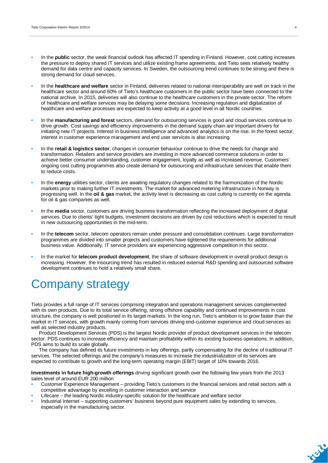- In the **public** sector, the weak financial outlook has affected IT spending in Finland. However, cost cutting increases the pressure to deploy shared IT services and utilize existing frame agreements, and Tieto sees relatively healthy demand for data centre and capacity services. In Sweden, the outsourcing trend continues to be strong and there is strong demand for cloud services.
- In the **healthcare and welfare** sector in Finland, deliveries related to national interoperability are well on track in the healthcare sector and around 60% of Tieto's healthcare customers in the public sector have been connected to the national archive. In 2015, deliveries will also continue to the healthcare customers in the private sector. The reform of healthcare and welfare services may be delaying some decisions. Increasing regulation and digitalization of healthcare and welfare processes are expected to keep activity at a good level in all Nordic countries.
- In the **manufacturing and forest** sectors, demand for outsourcing services is good and cloud services continue to drive growth. Cost savings and efficiency improvements in the demand supply chain are important drivers for initiating new IT projects. Interest in business intelligence and advanced analytics is on the rise. In the forest sector, interest in customer experience management and end user services is also increasing.
- In the **retail & logistics sector**, changes in consumer behaviour continue to drive the needs for change and transformation. Retailers and service providers are investing in more advanced commerce solutions in order to achieve better consumer understanding, customer engagement, loyalty as well as increased revenue. Customers' ongoing cost cutting programmes also create demand for outsourcing and infrastructure services that enable them to reduce costs.
- In the **energy** utilities sector, clients are awaiting regulatory changes related to the harmonization of the Nordic markets prior to making further IT investments. The market for advanced metering infrastructure in Norway is progressing well. In the **oil & gas** market, the activity level is decreasing as cost cutting is currently on the agenda for oil & gas companies as well.
- In the **media** sector, customers are driving business transformation reflecting the increased deployment of digital services. Due to clients' tight budgets, investment decisions are driven by cost reductions which is expected to result in new outsourcing opportunities in the mid-term.
- In the **telecom** sector, telecom operators remain under pressure and consolidation continues. Large transformation programmes are divided into smaller projects and customers have tightened the requirements for additional business value. Additionally, IT service providers are experiencing aggressive competition in this sector.
- In the market for **telecom product development**, the share of software development in overall product design is increasing. However, the insourcing trend has resulted in reduced external R&D spending and outsourced software development continues to hold a relatively small share.

# Company strategy

Tieto provides a full range of IT services comprising integration and operations management services complemented with its own products. Due to its total service offering, strong offshore capability and continued improvements in cost structure, the company is well positioned in its target markets. In the long run, Tieto's ambition is to grow faster than the market in IT services, with growth mainly coming from services driving end-customer experience and cloud services as well as selected industry products.

Product Development Services (PDS) is the largest Nordic provider of product development services in the telecom sector. PDS continues to increase efficiency and maintain profitability within its existing business operations. In addition, PDS aims to build its scale globally.

The company has defined its future investments in key offerings, partly compensating for the decline of traditional IT services. The selected offerings and the company's measures to increase the industrialization of its services are expected to contribute to growth and the long-term operating margin (EBIT) target of 10% towards 2016.

**Investments in future high-growth offerings** driving significant growth over the following few years from the 2013 sales level of around EUR 200 million

- Customer Experience Management providing Tieto's customers in the financial services and retail sectors with a competitive advantage by excelling in customer interaction and service
- Lifecare the leading Nordic industry-specific solution for the healthcare and welfare sector
- Industrial Internet supporting customers' business beyond pure equipment sales by extending to services, especially in the manufacturing sector.

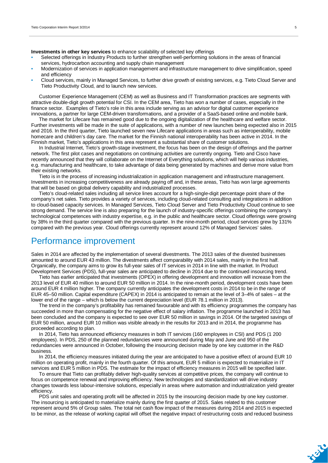**Investments in other key services** to enhance scalability of selected key offerings

- Selected offerings in Industry Products to further strengthen well-performing solutions in the areas of financial services, hydrocarbon accounting and supply chain management
- Modernization of services in application management and infrastructure management to drive simplification, speed and efficiency
- Cloud services, mainly in Managed Services, to further drive growth of existing services, e.g. Tieto Cloud Server and Tieto Productivity Cloud, and to launch new services.

Customer Experience Management (CEM) as well as Business and IT Transformation practices are segments with attractive double-digit growth potential for CSI. In the CEM area, Tieto has won a number of cases, especially in the finance sector. Examples of Tieto's role in this area include serving as an advisor for digital customer experience innovations, a partner for large CEM-driven transformations, and a provider of a SaaS-based online and mobile bank.

The market for Lifecare has remained good due to the ongoing digitalization of the healthcare and welfare sector. Further investments will be made in the suite of applications, with a number of new launches being expected also in 2015 and 2016. In the third quarter, Tieto launched seven new Lifecare applications in areas such as interoperability, mobile homecare and children's day care. The market for the Finnish national interoperability has been active in 2014. In the Finnish market, Tieto's applications in this area represent a substantial share of customer solutions.

In Industrial Internet, Tieto's growth-stage investment, the focus has been on the design of offerings and the partner network. The first pilot cases and negotiations on continuing activities are currently ongoing. Tieto and Cisco have recently announced that they will collaborate on the Internet of Everything solutions, which will help various industries, e.g. manufacturing and healthcare, to take advantage of data being generated by machines and derive more value from their existing networks.

Tieto is in the process of increasing industrialization in application management and infrastructure management. Investments in increasing competitiveness are already paying off and, in these areas, Tieto has won large agreements that will be based on global delivery capability and industrialized processes.

Tieto's cloud-related sales including all service lines account for a high-single-digit percentage point share of the company's net sales. Tieto provides a variety of services, including cloud-related consulting and integrations in addition to cloud-based capacity services. In Managed Services, Tieto Cloud Server and Tieto Productivity Cloud continue to see strong demand. The service line is also preparing for the launch of industry-specific offerings combining the company's technological competences with industry expertise, e.g. in the public and healthcare sector. Cloud offerings were growing by 38% in the third quarter compared with the previous quarter. In the nine-month period, cloud services grew by 131% compared with the previous year. Cloud offerings currently represent around 12% of Managed Services' sales.

### Performance improvement

Sales in 2014 are affected by the implementation of several divestments. The 2013 sales of the divested businesses amounted to around EUR 43 million. The divestments affect comparability with 2014 sales, mainly in the first half. Organically, the company aims to grow its full-year sales of IT services in 2014 in line with the market. In Product Development Services (PDS), full-year sales are anticipated to decline in 2014 due to the continued insourcing trend.

Tieto has earlier anticipated that investments (OPEX) in offering development and innovation will increase from the 2013 level of EUR 40 million to around EUR 50 million in 2014. In the nine-month period, development costs have been around EUR 4 million higher. The company currently anticipates the development costs in 2014 to be in the range of EUR 45–50 million. Capital expenditure (CAPEX) in 2014 is anticipated to remain at the level of 3–4% of sales – at the lower end of the range – which is below the current depreciation level (EUR 78.1 million in 2013).

The trend in the company's profitability has remained favourable and with its efficiency programmes the company has succeeded in more than compensating for the negative effect of salary inflation. The programme launched in 2013 has been concluded and the company is expected to see over EUR 50 million in savings in 2014. Of the targeted savings of EUR 50 million, around EUR 10 million was visible already in the results for 2013 and in 2014, the programme has proceeded according to plan.

In 2014, Tieto has announced efficiency measures in both IT services (160 employees in CSI) and PDS (1 200 employees). In PDS, 250 of the planned redundancies were announced during May and June and 950 of the redundancies were announced in October, following the insourcing decision made by one key customer in the R&D business.

In 2014, the efficiency measures initiated during the year are anticipated to have a positive effect of around EUR 10 million on operating profit, mainly in the fourth quarter. Of this amount, EUR 5 million is expected to materialize in IT services and EUR 5 million in PDS. The estimate for the impact of efficiency measures in 2015 will be specified later.

To ensure that Tieto can profitably deliver high-quality services at competitive prices, the company will continue to focus on competence renewal and improving efficiency. New technologies and standardization will drive industry changes towards less labour-intensive solutions, especially in areas where automation and industrialization yield greater efficiency.

PDS unit sales and operating profit will be affected in 2015 by the insourcing decision made by one key customer. The insourcing is anticipated to materialize mainly during the first quarter of 2015. Sales related to this customer represent around 5% of Group sales. The total net cash flow impact of the measures during 2014 and 2015 is expected to be minor, as the release of working capital will offset the negative impact of restructuring costs and reduced business

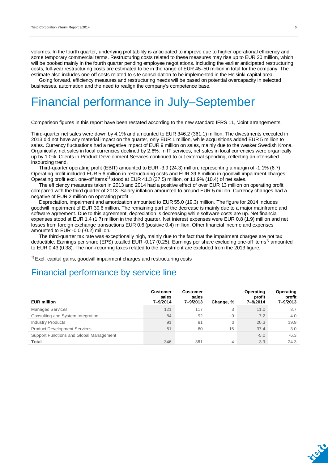volumes. In the fourth quarter, underlying profitability is anticipated to improve due to higher operational efficiency and some temporary commercial terms. Restructuring costs related to these measures may rise up to EUR 20 million, which will be booked mainly in the fourth quarter pending employee negotiations. Including the earlier anticipated restructuring costs, full-year restructuring costs are estimated to be in the range of EUR 45–50 million in total for the company. The estimate also includes one-off costs related to site consolidation to be implemented in the Helsinki capital area.

Going forward, efficiency measures and restructuring needs will be based on potential overcapacity in selected businesses, automation and the need to realign the company's competence base.

# Financial performance in July–September

Comparison figures in this report have been restated according to the new standard IFRS 11, 'Joint arrangements'.

Third-quarter net sales were down by 4.1% and amounted to EUR 346.2 (361.1) million. The divestments executed in 2013 did not have any material impact on the quarter, only EUR 1 million, while acquisitions added EUR 5 million to sales. Currency fluctuations had a negative impact of EUR 9 million on sales, mainly due to the weaker Swedish Krona. Organically, net sales in local currencies declined by 2.6%. In IT services, net sales in local currencies were organically up by 1.0%. Clients in Product Development Services continued to cut external spending, reflecting an intensified insourcing trend.

Third-quarter operating profit (EBIT) amounted to EUR -3.9 (24.3) million, representing a margin of -1.1% (6.7). Operating profit included EUR 5.6 million in restructuring costs and EUR 39.6 million in goodwill impairment charges. Operating profit excl. one-off items<sup>1)</sup> stood at EUR 41.3 (37.5) million, or 11.9% (10.4) of net sales.

The efficiency measures taken in 2013 and 2014 had a positive effect of over EUR 13 million on operating profit compared with the third quarter of 2013. Salary inflation amounted to around EUR 5 million. Currency changes had a negative of EUR 2 million on operating profit.

Depreciation, impairment and amortization amounted to EUR 55.0 (19.3) million. The figure for 2014 includes goodwill impairment of EUR 39.6 million. The remaining part of the decrease is mainly due to a major mainframe and software agreement. Due to this agreement, depreciation is decreasing while software costs are up. Net financial expenses stood at EUR 1.4 (1.7) million in the third quarter. Net interest expenses were EUR 0.8 (1.9) million and net losses from foreign exchange transactions EUR 0.6 (positive 0.4) million. Other financial income and expenses amounted to EUR -0.0 (-0.2) million.

The third-quarter tax rate was exceptionally high, mainly due to the fact that the impairment charges are not tax deductible. Earnings per share (EPS) totalled EUR -0.17 (0.25). Earnings per share excluding one-off items<sup>1)</sup> amounted to EUR 0.43 (0.38). The non-recurring taxes related to the divestment are excluded from the 2013 figure.

 $1)$  Excl. capital gains, goodwill impairment charges and restructuring costs

### Financial performance by service line

| <b>EUR million</b>                      | <b>Customer</b><br>sales<br>7-9/2014 | <b>Customer</b><br>sales<br>7-9/2013 | Change, % | Operating<br>profit<br>7-9/2014 | Operating<br>profit<br>7-9/2013 |
|-----------------------------------------|--------------------------------------|--------------------------------------|-----------|---------------------------------|---------------------------------|
| <b>Managed Services</b>                 | 121                                  | 117                                  | 3         | 11.0                            | 3.7                             |
| Consulting and System Integration       | 84                                   | 92                                   | -9        | 7.2                             | 4.0                             |
| <b>Industry Products</b>                | 91                                   | 91                                   | $\Omega$  | 20.3                            | 19.9                            |
| <b>Product Development Services</b>     | 51                                   | 60                                   | $-15$     | $-37.4$                         | $3.0^{\circ}$                   |
| Support Functions and Global Management |                                      |                                      |           | $-5.0$                          | $-6.3$                          |
| <b>Total</b>                            | 346                                  | 361                                  | $-4$      | $-3.9$                          | 24.3                            |

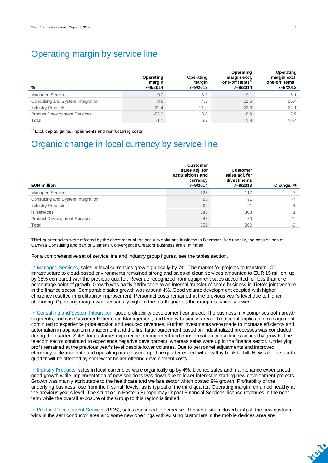### Operating margin by service line

| %                                   | Operating<br>margin<br>7-9/2014 | Operating<br>margin<br>7-9/2013 | Operating<br>margin excl.<br>one-off items <sup>1)</sup><br>7-9/2014 | Operating<br>margin excl.<br>one-off items <sup>1</sup><br>7-9/2013 |
|-------------------------------------|---------------------------------|---------------------------------|----------------------------------------------------------------------|---------------------------------------------------------------------|
| <b>Managed Services</b>             | 9.0                             | 3.2                             | 9.1                                                                  | 5.1                                                                 |
| Consulting and System Integration   | 8.6                             | 4.3                             | 11.6                                                                 | 10.4                                                                |
| <b>Industry Products</b>            | 22.4                            | 21.9                            | 22.3                                                                 | 22.1                                                                |
| <b>Product Development Services</b> | $-73.0$                         | 5.0                             | 8.9                                                                  | 7.9                                                                 |
| Total                               | $-1.1$                          | 6.7                             | 11.9                                                                 | 10.4                                                                |

 $1)$  Excl. capital gains, impairments and restructuring costs

### Organic change in local currency by service line

| <b>EUR million</b>                  | <b>Customer</b><br>sales adj. for<br>acquisitions and<br>currency<br>7-9/2014 | <b>Customer</b><br>sales adj. for<br>divestments<br>7-9/2013 | Change, % |
|-------------------------------------|-------------------------------------------------------------------------------|--------------------------------------------------------------|-----------|
| <b>Managed Services</b>             | 125                                                                           | 117                                                          |           |
| Consulting and System Integration   | 85                                                                            | 91                                                           | $-7$      |
| <b>Industry Products</b>            | 94                                                                            | 91                                                           | 4         |
| <b>IT</b> services                  | 303                                                                           | 300                                                          |           |
| <b>Product Development Services</b> | 48                                                                            | 60                                                           | $-21$     |
| <b>Total</b>                        | 351                                                                           | 360                                                          | $-3$      |

Third-quarter sales were affected by the divestment of the security solutions business in Denmark. Additionally, the acquisitions of Canvisa Consulting and part of Siemens Convergence Creators' business are eliminated.

For a comprehensive set of service line and industry group figures, see the tables section.

In Managed Services, sales in local currencies grew organically by 7%. The market for projects to transform ICT infrastructure to cloud-based environments remained strong and sales of cloud services amounted to EUR 15 million, up by 38% compared with the previous quarter. Revenue recognized from equipment sales accounted for less than one percentage point of growth. Growth was partly attributable to an internal transfer of some business in Tieto's joint venture in the finance sector. Comparable sales growth was around 4%. Good volume development coupled with higher efficiency resulted in profitability improvement. Personnel costs remained at the previous year's level due to higher offshoring. Operating margin was seasonally high. In the fourth quarter, the margin is typically lower.

In Consulting and System Integration, good profitability development continued. The business mix comprises both growth segments, such as Customer Experience Management, and legacy business areas. Traditional application management continued to experience price erosion and reduced revenues. Further investments were made to increase efficiency and automation in application management and the first large agreement based on industrialized processes was concluded during the quarter. Sales for customer experience management and transformation consulting saw healthy growth. The telecom sector continued to experience negative development, whereas sales were up in the finance sector. Underlying profit remained at the previous year's level despite lower volumes. Due to personnel adjustments and improved efficiency, utilization rate and operating margin were up. The quarter ended with healthy book-to-bill. However, the fourth quarter will be affected by somewhat higher offering development costs.

In Industry Products, sales in local currencies were organically up by 4%. Licence sales and maintenance experienced good growth while implementation of new solutions was down due to lower interest in starting new development projects. Growth was mainly attributable to the healthcare and welfare sector which posted 9% growth. Profitability of the underlying business rose from the first-half levels, as is typical of the third quarter. Operating margin remained healthy at the previous year's level. The situation in Eastern Europe may impact Financial Services' license revenues in the near term while the overall exposure of the Group to this region is limited.

In Product Development Services (PDS), sales continued to decrease. The acquisition closed in April, the new customer wins in the semiconductor area and some new openings with existing customers in the mobile devices area are

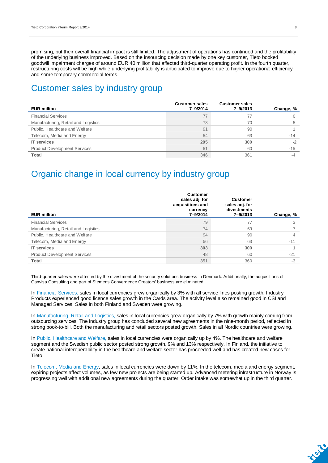promising, but their overall financial impact is still limited. The adjustment of operations has continued and the profitability of the underlying business improved. Based on the insourcing decision made by one key customer, Tieto booked goodwill impairment charges of around EUR 40 million that affected third-quarter operating profit. In the fourth quarter, restructuring costs will be high while underlying profitability is anticipated to improve due to higher operational efficiency and some temporary commercial terms.

### Customer sales by industry group

| <b>EUR million</b>                  | <b>Customer sales</b><br>7-9/2014 | <b>Customer sales</b><br>7-9/2013 | Change, % |
|-------------------------------------|-----------------------------------|-----------------------------------|-----------|
| <b>Financial Services</b>           | 77                                |                                   |           |
| Manufacturing, Retail and Logistics | 73                                | 70                                |           |
| Public, Healthcare and Welfare      | 91                                | 90                                |           |
| Telecom, Media and Energy           | 54                                | 63                                | $-14$     |
| <b>IT</b> services                  | 295                               | 300                               | $-2$      |
| <b>Product Development Services</b> | 51                                | 60                                | $-15$     |
| Total                               | 346                               | 361                               |           |

### Organic change in local currency by industry group

| <b>EUR million</b>                  | <b>Customer</b><br>sales adj. for<br>acquisitions and<br>currency<br>7-9/2014 | <b>Customer</b><br>sales adj. for<br>divestments<br>7-9/2013 | Change, % |
|-------------------------------------|-------------------------------------------------------------------------------|--------------------------------------------------------------|-----------|
| <b>Financial Services</b>           | 79                                                                            | 77                                                           |           |
| Manufacturing, Retail and Logistics | 74                                                                            | 69                                                           |           |
| Public, Healthcare and Welfare      | 94                                                                            | 90                                                           |           |
| Telecom, Media and Energy           | 56                                                                            | 63                                                           | $-11$     |
| <b>IT</b> services                  | 303                                                                           | 300                                                          |           |
| <b>Product Development Services</b> | 48                                                                            | 60                                                           | $-21$     |
| <b>Total</b>                        | 351                                                                           | 360                                                          | $-3$      |

Third-quarter sales were affected by the divestment of the security solutions business in Denmark. Additionally, the acquisitions of Canvisa Consulting and part of Siemens Convergence Creators' business are eliminated.

In Financial Services, sales in local currencies grew organically by 3% with all service lines posting growth. Industry Products experienced good licence sales growth in the Cards area. The activity level also remained good in CSI and Managed Services. Sales in both Finland and Sweden were growing.

In Manufacturing, Retail and Logistics, sales in local currencies grew organically by 7% with growth mainly coming from outsourcing services. The industry group has concluded several new agreements in the nine-month period, reflected in strong book-to-bill. Both the manufacturing and retail sectors posted growth. Sales in all Nordic countries were growing.

In Public, Healthcare and Welfare, sales in local currencies were organically up by 4%. The healthcare and welfare segment and the Swedish public sector posted strong growth, 9% and 13% respectively. In Finland, the initiative to create national interoperability in the healthcare and welfare sector has proceeded well and has created new cases for Tieto.

In Telecom, Media and Energy, sales in local currencies were down by 11%. In the telecom, media and energy segment, expiring projects affect volumes, as few new projects are being started up. Advanced metering infrastructure in Norway is progressing well with additional new agreements during the quarter. Order intake was somewhat up in the third quarter.

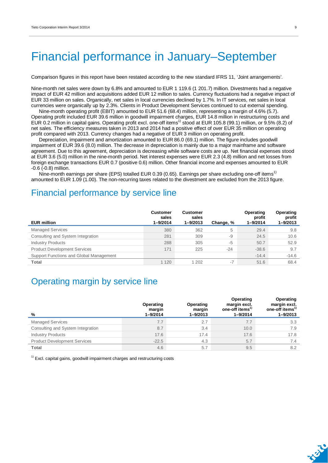# Financial performance in January–September

Comparison figures in this report have been restated according to the new standard IFRS 11, 'Joint arrangements'.

Nine-month net sales were down by 6.8% and amounted to EUR 1 119.6 (1 201.7) million. Divestments had a negative impact of EUR 42 million and acquisitions added EUR 12 million to sales. Currency fluctuations had a negative impact of EUR 33 million on sales. Organically, net sales in local currencies declined by 1.7%. In IT services, net sales in local currencies were organically up by 2.3%. Clients in Product Development Services continued to cut external spending.

Nine-month operating profit (EBIT) amounted to EUR 51.6 (68.4) million, representing a margin of 4.6% (5.7). Operating profit included EUR 39.6 million in goodwill impairment charges, EUR 14.8 million in restructuring costs and EUR 0.2 million in capital gains. Operating profit excl. one-off items<sup>1)</sup> stood at EUR 105.8 (99.1) million, or 9.5% (8.2) of net sales. The efficiency measures taken in 2013 and 2014 had a positive effect of over EUR 35 million on operating profit compared with 2013. Currency changes had a negative of EUR 3 million on operating profit.

Depreciation, impairment and amortization amounted to EUR 86.0 (69.1) million. The figure includes goodwill impairment of EUR 39.6 (8.0) million. The decrease in depreciation is mainly due to a major mainframe and software agreement. Due to this agreement, depreciation is decreasing while software costs are up. Net financial expenses stood at EUR 3.6 (5.0) million in the nine-month period. Net interest expenses were EUR 2.3 (4.8) million and net losses from foreign exchange transactions EUR 0.7 (positive 0.6) million. Other financial income and expenses amounted to EUR -0.6 (-0.8) million.

Nine-month earnings per share (EPS) totalled EUR 0.39 (0.65). Earnings per share excluding one-off items<sup>1)</sup> amounted to EUR 1.09 (1.00). The non-recurring taxes related to the divestment are excluded from the 2013 figure.

### Financial performance by service line

| <b>EUR million</b>                      | <b>Customer</b><br>sales<br>$1 - 9/2014$ | <b>Customer</b><br>sales<br>$1 - 9/2013$ | Change, % | Operating<br>profit<br>$1 - 9/2014$ | Operating<br>profit<br>1-9/2013 |
|-----------------------------------------|------------------------------------------|------------------------------------------|-----------|-------------------------------------|---------------------------------|
| <b>Managed Services</b>                 | 380                                      | 362                                      | 5         | 29.4                                | 9.8                             |
| Consulting and System Integration       | 281                                      | 309                                      | -9        | 24.5                                | 10.6                            |
| <b>Industry Products</b>                | 288                                      | 305                                      | -5        | 50.7                                | 52.9                            |
| <b>Product Development Services</b>     | 171                                      | 225                                      | $-24$     | $-38.6$                             | 9.7                             |
| Support Functions and Global Management |                                          |                                          |           | $-14.4$                             | $-14.6$                         |
| <b>Total</b>                            | 1 1 2 0                                  | 1 202                                    | $-7$      | 51.6                                | 68.4                            |

### Operating margin by service line

| %                                   | Operating<br>margin<br>$1 - 9/2014$ | Operating<br>margin<br>$1 - 9/2013$ | Operating<br>margin excl.<br>one-off items <sup>17</sup><br>$1 - 9/2014$ | Operating<br>margin excl.<br>one-off items <sup>17</sup><br>$1 - 9/2013$ |
|-------------------------------------|-------------------------------------|-------------------------------------|--------------------------------------------------------------------------|--------------------------------------------------------------------------|
| <b>Managed Services</b>             | 7.7                                 | 2.7                                 | 7.7                                                                      | 3.3                                                                      |
| Consulting and System Integration   | 8.7                                 | 3.4                                 | 10.0                                                                     | 7.9                                                                      |
| <b>Industry Products</b>            | 17.6                                | 17.4                                | 17.6                                                                     | 17.8                                                                     |
| <b>Product Development Services</b> | $-22.5$                             | 4.3                                 | 5.7                                                                      | 7.4                                                                      |
| Total                               | 4.6                                 | 5.7                                 | 9.5                                                                      | 8.2                                                                      |

 $1)$  Excl. capital gains, goodwill impairment charges and restructuring costs

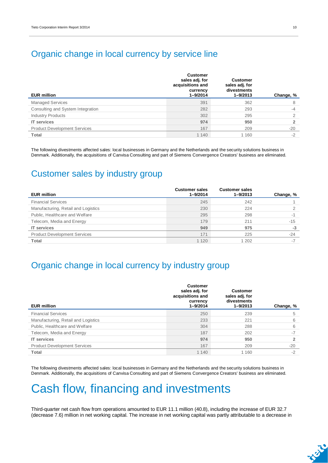### Organic change in local currency by service line

| <b>EUR million</b>                  | <b>Customer</b><br>sales adj. for<br>acquisitions and<br>currency<br>$1 - 9/2014$ | <b>Customer</b><br>sales adj. for<br>divestments<br>$1 - 9/2013$ | Change, % |
|-------------------------------------|-----------------------------------------------------------------------------------|------------------------------------------------------------------|-----------|
| <b>Managed Services</b>             | 391                                                                               | 362                                                              | 8         |
| Consulting and System Integration   | 282                                                                               | 293                                                              | $-4$      |
| <b>Industry Products</b>            | 302                                                                               | 295                                                              | ◠         |
| <b>IT</b> services                  | 974                                                                               | 950                                                              |           |
| <b>Product Development Services</b> | 167                                                                               | 209                                                              | $-20$     |
| Total                               | 1 140                                                                             | 1 1 6 0                                                          | $-2$      |

The following divestments affected sales: local businesses in Germany and the Netherlands and the security solutions business in Denmark. Additionally, the acquisitions of Canvisa Consulting and part of Siemens Convergence Creators' business are eliminated.

### Customer sales by industry group

| <b>EUR million</b>                  | <b>Customer sales</b><br>$1 - 9/2014$ | <b>Customer sales</b><br>$1 - 9/2013$ | Change, % |
|-------------------------------------|---------------------------------------|---------------------------------------|-----------|
| <b>Financial Services</b>           | 245                                   | 242                                   |           |
| Manufacturing, Retail and Logistics | 230                                   | 224                                   |           |
| Public, Healthcare and Welfare      | 295                                   | 298                                   | $-1$      |
| Telecom, Media and Energy           | 179                                   | 211                                   | $-15$     |
| <b>IT services</b>                  | 949                                   | 975                                   | $-3$      |
| <b>Product Development Services</b> | 171                                   | 225                                   | $-24$     |
| Total                               | 1 1 2 0                               | 1 202                                 | $-7$      |

### Organic change in local currency by industry group

| <b>EUR million</b>                  | <b>Customer</b><br>sales adj. for<br>acquisitions and<br>currency<br>1-9/2014 | <b>Customer</b><br>sales adj. for<br>divestments<br>$1 - 9/2013$ | Change, % |
|-------------------------------------|-------------------------------------------------------------------------------|------------------------------------------------------------------|-----------|
| <b>Financial Services</b>           | 250                                                                           | 239                                                              | 5         |
| Manufacturing, Retail and Logistics | 233                                                                           | 221                                                              | 6         |
| Public, Healthcare and Welfare      | 304                                                                           | 288                                                              | 6         |
| Telecom, Media and Energy           | 187                                                                           | 202                                                              | $-7$      |
| <b>IT services</b>                  | 974                                                                           | 950                                                              |           |
| <b>Product Development Services</b> | 167                                                                           | 209                                                              | $-20$     |
| <b>Total</b>                        | 1 1 4 0                                                                       | 1 1 6 0                                                          | $-2$      |
|                                     |                                                                               |                                                                  |           |

The following divestments affected sales: local businesses in Germany and the Netherlands and the security solutions business in Denmark. Additionally, the acquisitions of Canvisa Consulting and part of Siemens Convergence Creators' business are eliminated.

# Cash flow, financing and investments

Third-quarter net cash flow from operations amounted to EUR 11.1 million (40.8), including the increase of EUR 32.7 (decrease 7.6) million in net working capital. The increase in net working capital was partly attributable to a decrease in

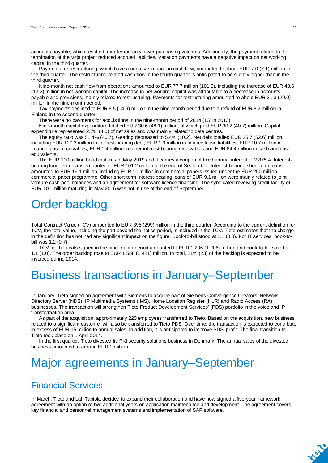accounts payable, which resulted from temporarily lower purchasing volumes. Additionally, the payment related to the termination of the Vitja project reduced accrued liabilities. Vacation payments have a negative impact on net working capital in the third quarter.

Payments for restructuring, which have a negative impact on cash flow, amounted to about EUR 7.0 (7.1) million in the third quarter. The restructuring-related cash flow in the fourth quarter is anticipated to be slightly higher than in the third quarter.

Nine-month net cash flow from operations amounted to EUR 77.7 million (101.5), including the increase of EUR 48.6 (12.2) million in net working capital. The increase in net working capital was attributable to a decrease in accounts payable and provisions, mainly related to restructuring. Payments for restructuring amounted to about EUR 31.3 (29.0) million in the nine-month period.

Tax payments declined to EUR 8.5 (14.9) million in the nine-month period due to a refund of EUR 8.2 million in Finland in the second quarter.

There were no payments for acquisitions in the nine-month period of 2014 (1.7 in 2013).

Nine-month capital expenditure totalled EUR 30.6 (48.1) million, of which paid EUR 30.2 (40.7) million. Capital expenditure represented 2.7% (4.0) of net sales and was mainly related to data centres.

The equity ratio was 51.4% (46.7). Gearing decreased to 5.4% (10.2). Net debt totalled EUR 25.7 (52.6) million, including EUR 120.3 million in interest-bearing debt, EUR 1.9 million in finance lease liabilities, EUR 10.7 million in finance lease receivables, EUR 1.4 million in other interest-bearing receivables and EUR 84.4 million in cash and cash equivalents.

The EUR 100 million bond matures in May 2019 and it carries a coupon of fixed annual interest of 2.875%. Interestbearing long-term loans amounted to EUR 101.2 million at the end of September. Interest-bearing short-term loans amounted to EUR 19.1 million, including EUR 10 million in commercial papers issued under the EUR 250 million commercial paper programme. Other short-term interest-bearing loans of EUR 9.1 million were mainly related to joint venture cash pool balances and an agreement for software licence financing. The syndicated revolving credit facility of EUR 100 million maturing in May 2016 was not in use at the end of September.

# Order backlog

Total Contract Value (TCV) amounted to EUR 395 (299) million in the third quarter. According to the current definition for TCV, the total value, including the part beyond the notice period, is included in the TCV. Tieto estimates that the change in the definition has not had any significant impact on the figure. Book-to-bill stood at 1.1 (0.8). For IT services, book-tobill was 1.2 (0.7).

TCV for the deals signed in the nine-month period amounted to EUR 1 206 (1 206) million and book-to-bill stood at 1.1 (1.0). The order backlog rose to EUR 1 558 (1 421) million. In total, 21% (23) of the backlog is expected to be invoiced during 2014.

# Business transactions in January–September

In January, Tieto signed an agreement with Siemens to acquire part of Siemens Convergence Creators' Network Directory Server (NDS), IP Multimedia Systems (IMS), Home Location Register (HLR) and Radio Access (RA) businesses. The transaction will strengthen Tieto Product Development Services' (PDS) portfolio in the voice and IP transformation area.

As part of the acquisition, approximately 220 employees transferred to Tieto. Based on the acquisition, new business related to a significant customer will also be transferred to Tieto PDS. Over time, the transaction is expected to contribute in excess of EUR 15 million to annual sales. In addition, it is anticipated to improve PDS' profit. The final transition to Tieto took place on 1 April 2014.

In the first quarter, Tieto divested its PKI security solutions business in Denmark. The annual sales of the divested business amounted to around EUR 2 million.

# Major agreements in January–September

### Financial Services

In March, Tieto and LähiTapiola decided to expand their collaboration and have now signed a five-year framework agreement with an option of two additional years on application maintenance and development. The agreement covers key financial and personnel management systems and implementation of SAP software.

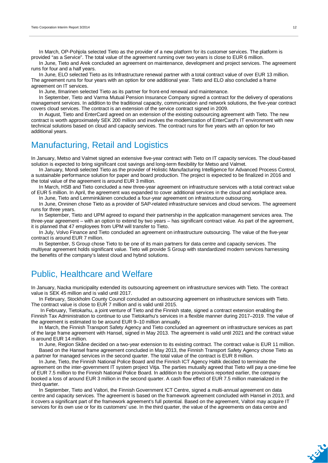In March, OP-Pohjola selected Tieto as the provider of a new platform for its customer services. The platform is provided "as a Service". The total value of the agreement running over two years is close to EUR 6 million.

In June, Tieto and Arek concluded an agreement on maintenance, development and project services. The agreement runs for four and a half years.

In June, ELO selected Tieto as its Infrastructure renewal partner with a total contract value of over EUR 13 million. The agreement runs for four years with an option for one additional year. Tieto and ELO also concluded a frame agreement on IT services.

In June, Ilmarinen selected Tieto as its partner for front-end renewal and maintenance.

In September, Tieto and Varma Mutual Pension Insurance Company signed a contract for the delivery of operations management services. In addition to the traditional capacity, communication and network solutions, the five-year contract covers cloud services. The contract is an extension of the service contract signed in 2009.

In August, Tieto and EnterCard agreed on an extension of the existing outsourcing agreement with Tieto. The new contract is worth approximately SEK 200 million and involves the modernization of EnterCard's IT environment with new technical solutions based on cloud and capacity services. The contract runs for five years with an option for two additional years.

### Manufacturing, Retail and Logistics

In January, Metso and Valmet signed an extensive five-year contract with Tieto on IT capacity services. The cloud-based solution is expected to bring significant cost savings and long-term flexibility for Metso and Valmet.

In January, Mondi selected Tieto as the provider of Holistic Manufacturing Intelligence for Advanced Process Control, a sustainable performance solution for paper and board production. The project is expected to be finalized in 2016 and the total value of the agreement is around EUR 3 million.

In March, HSB and Tieto concluded a new three-year agreement on infrastructure services with a total contract value of EUR 5 million. In April, the agreement was expanded to cover additional services in the cloud and workplace area.

In June, Tieto and Lemminkäinen concluded a four-year agreement on infrastructure outsourcing.

In June, Onninen chose Tieto as a provider of SAP-related infrastructure services and cloud services. The agreement runs for three years.

In September, Tieto and UPM agreed to expand their partnership in the application management services area. The three-year agreement – with an option to extend by two years – has significant contract value. As part of the agreement, it is planned that 47 employees from UPM will transfer to Tieto.

In July, Volvo Finance and Tieto concluded an agreement on infrastructure outsourcing. The value of the five-year contract is around EUR 7 million.

In September, S Group chose Tieto to be one of its main partners for data centre and capacity services. The multiyear agreement holds significant value. Tieto will provide S Group with standardized modern services harnessing the benefits of the company's latest cloud and hybrid solutions.

### Public, Healthcare and Welfare

In January, Nacka municipality extended its outsourcing agreement on infrastructure services with Tieto. The contract value is SEK 45 million and is valid until 2017.

In February, Stockholm County Council concluded an outsourcing agreement on infrastructure services with Tieto. The contract value is close to EUR 7 million and is valid until 2015.

 In February, Tietokarhu, a joint venture of Tieto and the Finnish state, signed a contract extension enabling the Finnish Tax Administration to continue to use Tietokarhu's services in a flexible manner during 2017–2019. The value of the agreement is estimated to be around EUR 9–10 million annually.

In March, the Finnish Transport Safety Agency and Tieto concluded an agreement on infrastructure services as part of the large frame agreement with Hansel, signed in May 2013. The agreement is valid until 2021 and the contract value is around EUR 14 million.

In June, Region Skåne decided on a two-year extension to its existing contract. The contract value is EUR 11 million. Based on the Hansel frame agreement concluded in May 2013, the Finnish Transport Safety Agency chose Tieto as a partner for managed services in the second quarter. The total value of the contract is EUR 8 million.

In June, Tieto, the Finnish National Police Board and the Finnish ICT Agency Haltik decided to terminate the agreement on the inter-government IT system project Vitja. The parties mutually agreed that Tieto will pay a one-time fee of EUR 7.5 million to the Finnish National Police Board. In addition to the provisions reported earlier, the company booked a loss of around EUR 3 million in the second quarter. A cash flow effect of EUR 7.5 million materialized in the third quarter.

In September, Tieto and Valtori, the Finnish Government ICT Centre, signed a multi-annual agreement on data centre and capacity services. The agreement is based on the framework agreement concluded with Hansel in 2013, and it covers a significant part of the framework agreement's full potential. Based on the agreement, Valtori may acquire IT services for its own use or for its customers' use. In the third quarter, the value of the agreements on data centre and

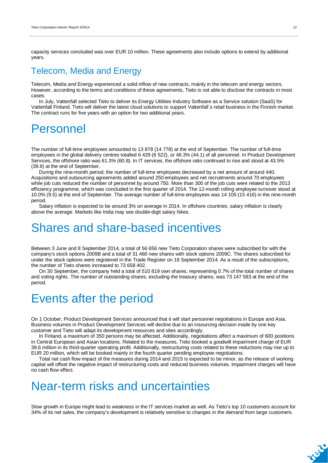capacity services concluded was over EUR 10 million. These agreements also include options to extend by additional years.

### Telecom, Media and Energy

Telecom, Media and Energy experienced a solid inflow of new contracts, mainly in the telecom and energy sectors. However, according to the terms and conditions of these agreements, Tieto is not able to disclose the contracts in most cases.

In July, Vattenfall selected Tieto to deliver its Energy Utilities Industry Software as a Service solution (SaaS) for Vattenfall Finland. Tieto will deliver the latest cloud solutions to support Vattenfall´s retail business in the Finnish market. The contract runs for five years with an option for two additional years.

## Personnel

The number of full-time employees amounted to 13 878 (14 778) at the end of September. The number of full-time employees in the global delivery centres totalled 6 429 (6 522), or 46.3% (44.1) of all personnel. In Product Development Services, the offshore ratio was 61.3% (60.8). In IT services, the offshore ratio continued to rise and stood at 43.5% (39.8) at the end of September.

During the nine-month period, the number of full-time employees decreased by a net amount of around 440. Acquisitions and outsourcing agreements added around 250 employees and net recruitments around 70 employees while job cuts reduced the number of personnel by around 750. More than 300 of the job cuts were related to the 2013 efficiency programme, which was concluded in the first quarter of 2014. The 12-month rolling employee turnover stood at 10.0% (9.5) at the end of September. The average number of full-time employees was 14 105 (15 416) in the nine-month period.

Salary inflation is expected to be around 3% on average in 2014. In offshore countries, salary inflation is clearly above the average. Markets like India may see double-digit salary hikes.

## Shares and share-based incentives

Between 3 June and 8 September 2014, a total of 56 656 new Tieto Corporation shares were subscribed for with the company's stock options 2009B and a total of 31 460 new shares with stock options 2009C. The shares subscribed for under the stock options were registered in the Trade Register on 18 September 2014. As a result of the subscriptions, the number of Tieto shares increased to 73 658 402.

On 30 September, the company held a total of 510 819 own shares, representing 0.7% of the total number of shares and voting rights. The number of outstanding shares, excluding the treasury shares, was 73 147 583 at the end of the period.

## Events after the period

On 1 October, Product Development Services announced that it will start personnel negotiations in Europe and Asia. Business volumes in Product Development Services will decline due to an insourcing decision made by one key customer and Tieto will adapt its development resources and sites accordingly.

In Finland, a maximum of 350 persons may be affected. Additionally, negotiations affect a maximum of 600 positions in Central European and Asian locations. Related to the measures, Tieto booked a goodwill impairment charge of EUR 39.6 million in its third-quarter operating profit. Additionally, restructuring costs related to these reductions may rise up to EUR 20 million, which will be booked mainly in the fourth quarter pending employee negotiations.

Total net cash flow impact of the measures during 2014 and 2015 is expected to be minor, as the release of working capital will offset the negative impact of restructuring costs and reduced business volumes. Impairment charges will have no cash flow effect.

# Near-term risks and uncertainties

Slow growth in Europe might lead to weakness in the IT services market as well. As Tieto's top 10 customers account for 34% of its net sales, the company's development is relatively sensitive to changes in the demand from large customers.

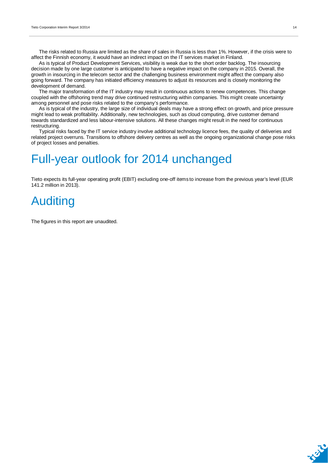The risks related to Russia are limited as the share of sales in Russia is less than 1%. However, if the crisis were to affect the Finnish economy, it would have an indirect impact on the IT services market in Finland.

As is typical of Product Development Services, visibility is weak due to the short order backlog. The insourcing decision made by one large customer is anticipated to have a negative impact on the company in 2015. Overall, the growth in insourcing in the telecom sector and the challenging business environment might affect the company also going forward. The company has initiated efficiency measures to adjust its resources and is closely monitoring the development of demand.

The major transformation of the IT industry may result in continuous actions to renew competences. This change coupled with the offshoring trend may drive continued restructuring within companies. This might create uncertainty among personnel and pose risks related to the company's performance.

As is typical of the industry, the large size of individual deals may have a strong effect on growth, and price pressure might lead to weak profitability. Additionally, new technologies, such as cloud computing, drive customer demand towards standardized and less labour-intensive solutions. All these changes might result in the need for continuous restructuring.

Typical risks faced by the IT service industry involve additional technology licence fees, the quality of deliveries and related project overruns. Transitions to offshore delivery centres as well as the ongoing organizational change pose risks of project losses and penalties.

# Full-year outlook for 2014 unchanged

Tieto expects its full-year operating profit (EBIT) excluding one-off items to increase from the previous year's level (EUR 141.2 million in 2013).

# Auditing

The figures in this report are unaudited.

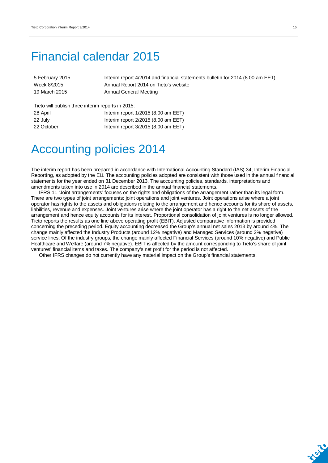## Financial calendar 2015

| 5 February 2015 | Interim report 4/2014 and financial statements bulletin for 2014 (8.00 am EET) |
|-----------------|--------------------------------------------------------------------------------|
| Week 8/2015     | Annual Report 2014 on Tieto's website                                          |
| 19 March 2015   | Annual General Meeting                                                         |

Tieto will publish three interim reports in 2015:

| 28 April   | Interim report $1/2015$ (8.00 am EET) |
|------------|---------------------------------------|
| 22 July    | Interim report $2/2015$ (8.00 am EET) |
| 22 October | Interim report $3/2015$ (8.00 am EET) |

# Accounting policies 2014

The interim report has been prepared in accordance with International Accounting Standard (IAS) 34, Interim Financial Reporting, as adopted by the EU. The accounting policies adopted are consistent with those used in the annual financial statements for the year ended on 31 December 2013. The accounting policies, standards, interpretations and amendments taken into use in 2014 are described in the annual financial statements.

IFRS 11 'Joint arrangements' focuses on the rights and obligations of the arrangement rather than its legal form. There are two types of joint arrangements: joint operations and joint ventures. Joint operations arise where a joint operator has rights to the assets and obligations relating to the arrangement and hence accounts for its share of assets, liabilities, revenue and expenses. Joint ventures arise where the joint operator has a right to the net assets of the arrangement and hence equity accounts for its interest. Proportional consolidation of joint ventures is no longer allowed. Tieto reports the results as one line above operating profit (EBIT). Adjusted comparative information is provided concerning the preceding period. Equity accounting decreased the Group's annual net sales 2013 by around 4%. The change mainly affected the Industry Products (around 12% negative) and Managed Services (around 2% negative) service lines. Of the industry groups, the change mainly affected Financial Services (around 10% negative) and Public Healthcare and Welfare (around 7% negative). EBIT is affected by the amount corresponding to Tieto's share of joint ventures' financial items and taxes. The company's net profit for the period is not affected.

Other IFRS changes do not currently have any material impact on the Group's financial statements.

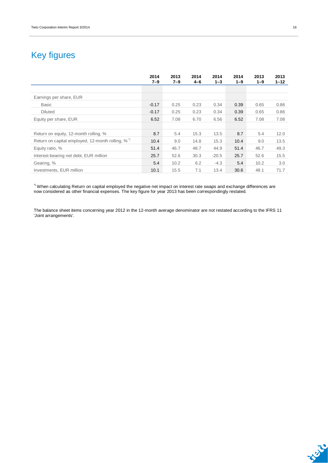## Key figures

|                                                              | 2014<br>$7 - 9$ | 2013<br>$7 - 9$ | 2014<br>$4 - 6$ | 2014<br>$1 - 3$ | 2014<br>$1 - 9$ | 2013<br>$1 - 9$ | 2013<br>$1 - 12$ |
|--------------------------------------------------------------|-----------------|-----------------|-----------------|-----------------|-----------------|-----------------|------------------|
|                                                              |                 |                 |                 |                 |                 |                 |                  |
| Earnings per share, EUR                                      |                 |                 |                 |                 |                 |                 |                  |
| <b>Basic</b>                                                 | $-0.17$         | 0.25            | 0.23            | 0.34            | 0.39            | 0.65            | 0.86             |
| <b>Diluted</b>                                               | $-0.17$         | 0.25            | 0.23            | 0.34            | 0.39            | 0.65            | 0.86             |
| Equity per share, EUR                                        | 6.52            | 7.08            | 6.70            | 6.56            | 6.52            | 7.08            | 7.08             |
|                                                              |                 |                 |                 |                 |                 |                 |                  |
| Return on equity, 12-month rolling, %                        | 8.7             | 5.4             | 15.3            | 13.5            | 8.7             | 5.4             | 12.0             |
| Return on capital employed, 12-month rolling, % <sup>1</sup> | 10.4            | 9.0             | 14.8            | 15.3            | 10.4            | 9.0             | 13.5             |
| Equity ratio, %                                              | 51.4            | 46.7            | 48.7            | 44.9            | 51.4            | 46.7            | 49.3             |
| Interest-bearing net debt, EUR million                       | 25.7            | 52.6            | 30.3            | $-20.5$         | 25.7            | 52.6            | 15.5             |
| Gearing, %                                                   | 5.4             | 10.2            | 6.2             | $-4.3$          | 5.4             | 10.2            | 3.0              |
| Investments, EUR million                                     | 10.1            | 15.5            | 7.1             | 13.4            | 30.6            | 48.1            | 71.7             |

 $^{\circ}$  When calculating Return on capital employed the negative net impact on interest rate swaps and exchange differences are now considered as other financial expenses. The key figure for year 2013 has been correspondingly restated.

The balance sheet items concerning year 2012 in the 12-month average denominator are not restated according to the IFRS 11 'Joint arrangements'.

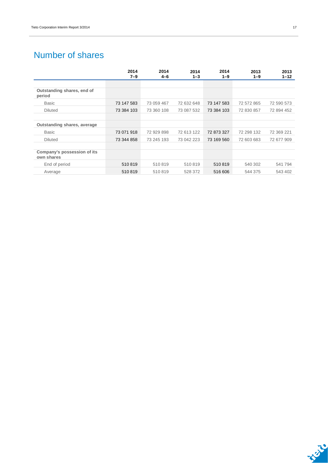## Number of shares

|                                           | 2014<br>$7 - 9$ | 2014<br>$4 - 6$ | 2014<br>$1 - 3$ | 2014<br>$1 - 9$ | 2013<br>$1 - 9$ | 2013<br>$1 - 12$ |
|-------------------------------------------|-----------------|-----------------|-----------------|-----------------|-----------------|------------------|
|                                           |                 |                 |                 |                 |                 |                  |
| Outstanding shares, end of<br>period      |                 |                 |                 |                 |                 |                  |
| <b>Basic</b>                              | 73 147 583      | 73 059 467      | 72 632 648      | 73 147 583      | 72 572 865      | 72 590 573       |
| <b>Diluted</b>                            | 73 384 103      | 73 360 108      | 73 087 532      | 73 384 103      | 72 830 857      | 72 894 452       |
|                                           |                 |                 |                 |                 |                 |                  |
| Outstanding shares, average               |                 |                 |                 |                 |                 |                  |
| <b>Basic</b>                              | 73 071 918      | 72 929 898      | 72 613 122      | 72 873 327      | 72 298 132      | 72 369 221       |
| <b>Diluted</b>                            | 73 344 858      | 73 245 193      | 73 042 223      | 73 169 560      | 72 603 683      | 72 677 909       |
|                                           |                 |                 |                 |                 |                 |                  |
| Company's possession of its<br>own shares |                 |                 |                 |                 |                 |                  |
| End of period                             | 510819          | 510819          | 510819          | 510819          | 540 302         | 541794           |
| Average                                   | 510819          | 510819          | 528 372         | 516 606         | 544 375         | 543 402          |

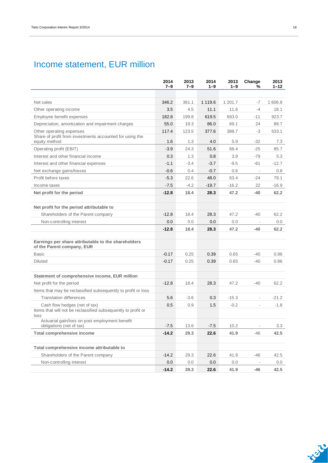## Income statement, EUR million

|                                                                                   | 2014<br>$7 - 9$ | 2013<br>$7 - 9$ | 2014<br>$1 - 9$ | 2013<br>$1 - 9$ | Change<br>%              | 2013<br>1–12 |
|-----------------------------------------------------------------------------------|-----------------|-----------------|-----------------|-----------------|--------------------------|--------------|
|                                                                                   |                 |                 |                 |                 |                          |              |
| Net sales                                                                         | 346.2           | 361.1           | 1 1 1 9.6       | 1 201.7         | $-7$                     | 1 606.8      |
| Other operating income                                                            | 3.5             | 4.5             | 11.1            | 11.6            | $-4$                     | 18.1         |
| Employee benefit expenses                                                         | 182.8           | 199.8           | 619.5           | 693.0           | -11                      | 923.7        |
| Depreciation, amortization and impairment charges                                 | 55.0            | 19.3            | 86.0            | 69.1            | 24                       | 89.7         |
| Other operating expenses                                                          | 117.4           | 123.5           | 377.6           | 388.7           | -3                       | 533.1        |
| Share of profit from investments accounted for using the<br>equity method         | 1.6             | 1.3             | 4.0             | 5.9             | -32                      | 7.3          |
| Operating profit (EBIT)                                                           | $-3.9$          | 24.3            | 51.6            | 68.4            | $-25$                    | 85.7         |
| Interest and other financial income                                               | 0.3             | 1.3             | 0.8             | 3.9             | $-79$                    | 5.3          |
| Interest and other financial expenses                                             | $-1.1$          | $-3.4$          | $-3.7$          | $-9.5$          | -61                      | $-12.7$      |
| Net exchange gains/losses                                                         | $-0.6$          | 0.4             | $-0.7$          | 0.6             | $\overline{\phantom{a}}$ | 0.8          |
| Profit before taxes                                                               | $-5.3$          | 22.6            | 48.0            | 63.4            | -24                      | 79.1         |
| Income taxes                                                                      | $-7.5$          | $-4.2$          | $-19.7$         | $-16.2$         | 22                       | $-16.9$      |
| Net profit for the period                                                         | $-12.8$         | 18.4            | 28.3            | 47.2            | -40                      | 62.2         |
|                                                                                   |                 |                 |                 |                 |                          |              |
| Net profit for the period attributable to                                         |                 |                 |                 |                 |                          |              |
| Shareholders of the Parent company                                                | $-12.8$         | 18.4            | 28.3            | 47.2            | -40                      | 62.2         |
| Non-controlling interest                                                          | 0.0             | 0.0             | 0.0             | 0.0             | $\overline{\phantom{a}}$ | $0.0\,$      |
|                                                                                   | $-12.8$         | 18.4            | 28.3            | 47.2            | -40                      | 62.2         |
|                                                                                   |                 |                 |                 |                 |                          |              |
| Earnings per share attributable to the shareholders<br>of the Parent company, EUR |                 |                 |                 |                 |                          |              |
| <b>Basic</b>                                                                      | $-0.17$         | 0.25            | 0.39            | 0.65            | $-40$                    | 0.86         |
| <b>Diluted</b>                                                                    | $-0.17$         | 0.25            | 0.39            | 0.65            | -40                      | 0.86         |
|                                                                                   |                 |                 |                 |                 |                          |              |
| Statement of comprehensive income, EUR million                                    |                 |                 |                 |                 |                          |              |
| Net profit for the period                                                         | $-12.8$         | 18.4            | 28.3            | 47.2            | $-40$                    | 62.2         |
| Items that may be reclassified subsequently to profit or loss                     |                 |                 |                 |                 |                          |              |
| <b>Translation differences</b>                                                    | 5.6             | $-3.6$          | 0.3             | $-15.3$         | $\overline{\phantom{a}}$ | $-21.2$      |
| Cash flow hedges (net of tax)                                                     | 0.5             | 0.9             | 1.5             | $-0.2$          | $\sim$                   | $-1.8$       |
| Items that will not be reclassified subsequently to profit or<br>loss             |                 |                 |                 |                 |                          |              |
| Actuarial gain/loss on post employment benefit<br>obligations (net of tax)        | $-7.5$          | 13.6            | $-7.5$          | 10.2            |                          | 3.3          |
| <b>Total comprehensive income</b>                                                 | $-14.2$         | 29.3            | 22.6            | 41.9            | -46                      | 42.5         |
|                                                                                   |                 |                 |                 |                 |                          |              |
| Total comprehensive income attributable to                                        |                 |                 |                 |                 |                          |              |
| Shareholders of the Parent company                                                | $-14.2$         | 29.3            | 22.6            | 41.9            | -46                      | 42.5         |
| Non-controlling interest                                                          | 0.0             | 0.0             | 0.0             | 0.0             |                          | 0.0          |
|                                                                                   | $-14.2$         | 29.3            | 22.6            | 41.9            | -46                      | 42.5         |

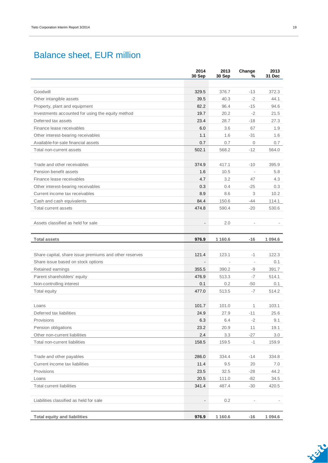## Balance sheet, EUR million

|                                                            | 2014<br>30 Sep | 2013<br>30 Sep | Change<br>%              | 2013<br>31 Dec |
|------------------------------------------------------------|----------------|----------------|--------------------------|----------------|
|                                                            |                |                |                          |                |
| Goodwill                                                   | 329.5          | 376.7          | $-13$                    | 372.3          |
| Other intangible assets                                    | 39.5           | 40.3           | $-2$                     | 44.1           |
| Property, plant and equipment                              | 82.2           | 96.4           | $-15$                    | 94.6           |
| Investments accounted for using the equity method          | 19.7           | 20.2           | $-2$                     | 21.5           |
| Deferred tax assets                                        | 23.4           | 28.7           | $-18$                    | 27.3           |
| Finance lease receivables                                  | 6.0            | 3.6            | 67                       | 1.9            |
| Other interest-bearing receivables                         | 1.1            | 1.6            | $-31$                    | 1.6            |
| Available-for-sale financial assets                        | 0.7            | 0.7            | $\mathbf 0$              | 0.7            |
| Total non-current assets                                   | 502.1          | 568.2          | $-12$                    | 564.0          |
| Trade and other receivables                                | 374.9          | 417.1          | $-10$                    | 395.9          |
| Pension benefit assets                                     | 1.6            | 10.5           | $\overline{\phantom{a}}$ | 5.8            |
| Finance lease receivables                                  | 4.7            | 3.2            | 47                       | 4.3            |
| Other interest-bearing receivables                         | 0.3            | 0.4            | $-25$                    | 0.3            |
| Current income tax receivables                             | 8.9            | 8.6            | 3                        | 10.2           |
| Cash and cash equivalents                                  | 84.4           | 150.6          | $-44$                    | 114.1          |
| Total current assets                                       | 474.8          | 590.4          | $-20$                    | 530.6          |
|                                                            |                |                |                          |                |
| Assets classified as held for sale                         |                | 2.0            |                          |                |
| <b>Total assets</b>                                        | 976.9          | 1 1 6 0.6      | $-16$                    | 1 0 9 4.6      |
|                                                            |                |                |                          |                |
| Share capital, share issue premiums and other reserves     | 121.4          | 123.1          | -1                       | 122.3          |
| Share issue based on stock options                         |                |                | $\overline{\phantom{a}}$ | 0.1            |
| Retained earnings                                          | 355.5          | 390.2          | -9                       | 391.7          |
| Parent shareholders' equity                                | 476.9          | 513.3          | $-7$                     | 514.1          |
| Non-controlling interest                                   | 0.1            | 0.2            | -50                      | 0.1            |
| Total equity                                               | 477.0          | 513.5          | -7                       | 514.2          |
| Loans                                                      | 101.7          | 101.0          | 1                        | 103.1          |
| Deferred tax liabilities                                   | 24.9           | 27.9           | $-11$                    | 25.6           |
| Provisions                                                 | 6.3            | 6.4            | $-2$                     | 9.1            |
| Pension obligations                                        | 23.2           | 20.9           | 11                       | 19.1           |
| Other non-current liabilities                              | 2.4            | 3.3            | $-27$                    | 3.0            |
| Total non-current liabilities                              | 158.5          | 159.5          | $-1$                     | 159.9          |
|                                                            |                | 334.4          |                          |                |
| Trade and other payables<br>Current income tax liabilities | 286.0<br>11.4  | 9.5            | $-14$<br>20              | 334.8<br>7.0   |
| Provisions                                                 | 23.5           | 32.5           | $-28$                    | 44.2           |
| Loans                                                      | 20.5           | 111.0          | $-82$                    | 34.5           |
| <b>Total current liabilities</b>                           | 341.4          | 487.4          | $-30$                    | 420.5          |
|                                                            |                |                |                          |                |
| Liabilities classified as held for sale                    |                | 0.2            |                          |                |
|                                                            |                |                |                          |                |
| <b>Total equity and liabilities</b>                        | 976.9          | 1 1 6 0.6      | $-16$                    | 1 0 9 4 . 6    |

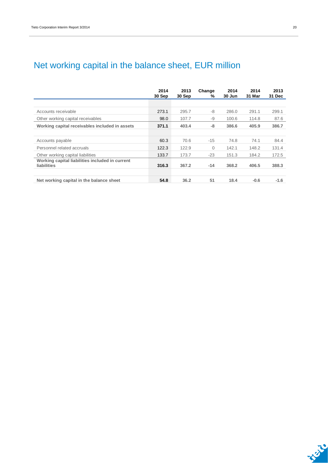## Net working capital in the balance sheet, EUR million

|                                                                       | 2014<br>30 Sep | 2013<br>30 Sep | Change<br>% | 2014<br>30 Jun | 2014<br>31 Mar | 2013<br>31 Dec |
|-----------------------------------------------------------------------|----------------|----------------|-------------|----------------|----------------|----------------|
|                                                                       |                |                |             |                |                |                |
| Accounts receivable                                                   | 273.1          | 295.7          | -8          | 286.0          | 291.1          | 299.1          |
| Other working capital receivables                                     | 98.0           | 107.7          | -9          | 100.6          | 114.8          | 87.6           |
| Working capital receivables included in assets                        | 371.1          | 403.4          | -8          | 386.6          | 405.9          | 386.7          |
|                                                                       |                |                |             |                |                |                |
| Accounts payable                                                      | 60.3           | 70.6           | $-15$       | 74.8           | 74.1           | 84.4           |
| Personnel related accruals                                            | 122.3          | 122.9          | 0           | 142.1          | 148.2          | 131.4          |
| Other working capital liabilities                                     | 133.7          | 173.7          | $-23$       | 151.3          | 184.2          | 172.5          |
| Working capital liabilities included in current<br><b>liabilities</b> | 316.3          | 367.2          | $-14$       | 368.2          | 406.5          | 388.3          |
| Net working capital in the balance sheet                              | 54.8           | 36.2           | 51          | 18.4           | $-0.6$         | $-1.6$         |

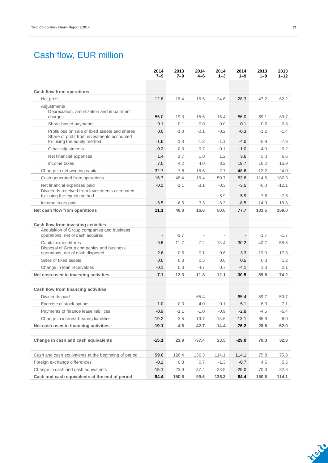## Cash flow, EUR million

|                                                                                              | 2014<br>$7 - 9$          | 2013<br>7–9              | 2014<br>4–6              | 2014<br>$1 - 3$          | 2014<br>$1 - 9$          | 2013<br>$1 - 9$ | 2013<br>$1 - 12$ |
|----------------------------------------------------------------------------------------------|--------------------------|--------------------------|--------------------------|--------------------------|--------------------------|-----------------|------------------|
| Cash flow from operations                                                                    |                          |                          |                          |                          |                          |                 |                  |
| Net profit                                                                                   | $-12.8$                  | 18.4                     | 16.5                     | 24.6                     | 28.3                     | 47.2            | 62.2             |
| Adjustments                                                                                  |                          |                          |                          |                          |                          |                 |                  |
| Depreciation, amortization and impairment<br>charges                                         | 55.0                     | 19.3                     | 15.6                     | 15.4                     | 86.0                     | 69.1            | 89.7             |
| Share-based payments                                                                         | 0.1                      | 0.1                      | 0.0                      | 0.0                      | 0.1                      | 0.6             | 0.8              |
| Profit/loss on sale of fixed assets and shares<br>Share of profit from investments accounted | 0.0                      | $-1.3$                   | $-0.1$                   | $-0.2$                   | $-0.3$                   | $-1.2$          | $-1.4$           |
| for using the equity method                                                                  | $-1.6$                   | $-1.3$                   | $-1.3$                   | $-1.1$                   | $-4.0$                   | $-5.9$          | $-7.3$           |
| Other adjustments                                                                            | $-0.2$                   | $-0.3$                   | $-0.7$                   | $-0.1$                   | $-1.0$                   | $-4.0$          | $-9.2$           |
| Net financial expenses                                                                       | 1.4                      | 1.7                      | 1.0                      | 1.2                      | 3.6                      | 5.0             | 6.6              |
| Income taxes                                                                                 | 7.5                      | 4.2                      | 4.0                      | 8.2                      | 19.7                     | 16.2            | 16.9             |
| Change in net working capital                                                                | $-32.7$                  | 7.6                      | $-18.6$                  | 2.7                      | $-48.6$                  | $-12.2$         | 24.0             |
| Cash generated from operations                                                               | 16.7                     | 48.4                     | 16.4                     | 50.7                     | 83.8                     | 114.8           | 182.3            |
| Net financial expenses paid<br>Dividends received from investments accounted                 | $-0.1$                   | $-1.1$                   | $-3.1$                   | $-0.3$                   | $-3.5$                   | $-6.0$          | $-12.1$          |
| for using the equity method                                                                  | $\overline{\phantom{a}}$ | $\overline{\phantom{a}}$ | $\overline{\phantom{a}}$ | 5.9                      | 5.9                      | 7.6             | 7.6              |
| Income taxes paid                                                                            | $-5.5$                   | $-6.5$                   | 3.3                      | $-6.3$                   | $-8.5$                   | $-14.9$         | $-18.8$          |
| Net cash flow from operations                                                                | 11.1                     | 40.8                     | 16.6                     | 50.0                     | 77.7                     | 101.5           | 159.0            |
| Cash flow from investing activities                                                          |                          |                          |                          |                          |                          |                 |                  |
| Acquisition of Group companies and business<br>operations, net of cash acquired              | $\blacksquare$           | $-1.7$                   | $\overline{\phantom{a}}$ | $\overline{\phantom{a}}$ | $\overline{\phantom{a}}$ | $-1.7$          | $-1.7$           |
| Capital expenditures                                                                         | $-9.6$                   | $-11.7$                  | $-7.2$                   | $-13.4$                  | $-30.2$                  | $-40.7$         | $-58.5$          |
| Disposal of Group companies and business<br>operations, net of cash disposed                 | 2.6                      | 0.5                      | 0.1                      | 0.6                      | 3.3                      | $-19.0$         | $-17.3$          |
| Sales of fixed assets                                                                        | 0.0                      | 0.3                      | 0.5                      | 0.0                      | 0.5                      | 0.3             | 1.2              |
| Change in Ioan receivables                                                                   | $-0.1$                   | 0.3                      | $-4.7$                   | 0.7                      | $-4.1$                   | 1.3             | 2.1              |
| Net cash used in investing activities                                                        | $-7.1$                   | $-12.3$                  | $-11.3$                  | $-12.1$                  | $-30.5$                  | $-59.8$         | $-74.2$          |
| Cash flow from financing activities                                                          |                          |                          |                          |                          |                          |                 |                  |
| Dividends paid                                                                               | $\overline{\phantom{a}}$ | $\overline{\phantom{a}}$ | $-65.4$                  | $\overline{\phantom{a}}$ | $-65.4$                  | $-59.7$         | $-59.7$          |
| Exercise of stock options                                                                    | 1.0                      | 0.0                      | 4.0                      | 0.1                      | 5.1                      | 6.9             | 7.1              |
| Payments of finance lease liabilities                                                        | $-0.9$                   | $-1.1$                   | $-1.0$                   | $-0.9$                   | $-2.8$                   | $-4.5$          | $-5.4$           |
| Change in interest-bearing liabilities                                                       | $-19.2$                  | $-3.5$                   | 19.7                     | $-13.6$                  | $-13.1$                  | 85.9            | 6.0              |
| Net cash used in financing activities                                                        | $-19.1$                  | $-4.6$                   | $-42.7$                  | $-14.4$                  | $-76.2$                  | 28.6            | $-52.0$          |
| Change in cash and cash equivalents                                                          | $-15.1$                  | 23.9                     | $-37.4$                  | 23.5                     | $-29.0$                  | 70.3            | 32.8             |
| Cash and cash equivalents at the beginning of period                                         | 99.6                     | 126.4                    | 136.3                    | 114.1                    | 114.1                    | 75.8            | 75.8             |
| Foreign exchange differences                                                                 | $-0.1$                   | 0.3                      | 0.7                      | $-1.3$                   | $-0.7$                   | 4.5             | 5.5              |
| Change in cash and cash equivalents                                                          | $-15.1$                  | 23.9                     | $-37.4$                  | 23.5                     | $-29.0$                  | 70.3            | 32.8             |
| Cash and cash equivalents at the end of period                                               | 84.4                     | 150.6                    | 99.6                     | 136.3                    | 84.4                     | 150.6           | 114.1            |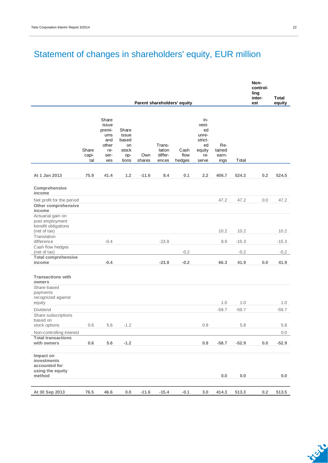## Statement of changes in shareholders' equity, EUR million

|                                                                         |                       |                                                                       |                                                        |               |                                      |                             |                                                                        |                                |         | Non-<br>control-<br>ling<br>inter- | Total   |
|-------------------------------------------------------------------------|-----------------------|-----------------------------------------------------------------------|--------------------------------------------------------|---------------|--------------------------------------|-----------------------------|------------------------------------------------------------------------|--------------------------------|---------|------------------------------------|---------|
|                                                                         |                       |                                                                       |                                                        |               |                                      | Parent shareholders' equity |                                                                        |                                |         | est                                | equity  |
|                                                                         | Share<br>capi-<br>tal | Share<br>issue<br>premi-<br>ums<br>and<br>other<br>re-<br>ser-<br>ves | Share<br>issue<br>based<br>on<br>stock<br>op-<br>tions | Own<br>shares | Trans-<br>lation<br>differ-<br>ences | Cash<br>flow<br>hedges      | In-<br>vest-<br>ed<br>unre-<br>strict-<br>ed<br>equity<br>re-<br>serve | Re-<br>tained<br>earn-<br>ings | Total   |                                    |         |
|                                                                         |                       |                                                                       |                                                        |               |                                      |                             |                                                                        |                                |         |                                    |         |
| At 1 Jan 2013                                                           | 75.9                  | 41.4                                                                  | 1.2                                                    | $-11.6$       | 8.4                                  | 0.1                         | 2.2                                                                    | 406.7                          | 524.3   | 0.2                                | 524.5   |
| Comprehensive<br>income                                                 |                       |                                                                       |                                                        |               |                                      |                             |                                                                        |                                |         |                                    |         |
| Net profit for the period                                               |                       |                                                                       |                                                        |               |                                      |                             |                                                                        | 47.2                           | 47.2    | 0.0                                | 47.2    |
| Other comprehensive<br>income                                           |                       |                                                                       |                                                        |               |                                      |                             |                                                                        |                                |         |                                    |         |
| Actuarial gain on                                                       |                       |                                                                       |                                                        |               |                                      |                             |                                                                        |                                |         |                                    |         |
| post employment<br>benefit obligations                                  |                       |                                                                       |                                                        |               |                                      |                             |                                                                        |                                |         |                                    |         |
| (net of tax)                                                            |                       |                                                                       |                                                        |               |                                      |                             |                                                                        | 10.2                           | 10.2    |                                    | 10.2    |
| Translation                                                             |                       |                                                                       |                                                        |               |                                      |                             |                                                                        |                                |         |                                    |         |
| difference<br>Cash flow hedges                                          |                       | $-0.4$                                                                |                                                        |               | $-23.8$                              |                             |                                                                        | 8.9                            | $-15.3$ |                                    | $-15.3$ |
| (net of tax)                                                            |                       |                                                                       |                                                        |               |                                      | $-0.2$                      |                                                                        |                                | $-0.2$  |                                    | $-0.2$  |
| <b>Total comprehensive</b>                                              |                       |                                                                       |                                                        |               |                                      |                             |                                                                        |                                |         |                                    |         |
| income                                                                  |                       | $-0.4$                                                                |                                                        |               | $-23.8$                              | $-0.2$                      |                                                                        | 66.3                           | 41.9    | 0.0                                | 41.9    |
| <b>Transactions with</b><br>owners<br>Share-based<br>payments           |                       |                                                                       |                                                        |               |                                      |                             |                                                                        |                                |         |                                    |         |
| recognized against                                                      |                       |                                                                       |                                                        |               |                                      |                             |                                                                        | 1.0                            | 1.0     |                                    | 1.0     |
| equity<br>Dividend                                                      |                       |                                                                       |                                                        |               |                                      |                             |                                                                        | $-59.7$                        | $-59.7$ |                                    | $-59.7$ |
| Share subscriptions<br>based on                                         |                       |                                                                       |                                                        |               |                                      |                             |                                                                        |                                |         |                                    |         |
| stock options                                                           | 0.6                   | 5.6                                                                   | $-1.2$                                                 |               |                                      |                             | 0.8                                                                    |                                | 5.8     |                                    | 5.8     |
| Non-controlling interest                                                |                       |                                                                       |                                                        |               |                                      |                             |                                                                        |                                |         |                                    | 0.0     |
| <b>Total transactions</b><br>with owners                                | 0.6                   | $5.6\,$                                                               | $-1.2$                                                 |               |                                      |                             | $0.8\,$                                                                | $-58.7$                        | $-52.9$ | 0.0                                | $-52.9$ |
| Impact on<br>investments<br>accounted for<br>using the equity<br>method |                       |                                                                       |                                                        |               |                                      |                             |                                                                        | 0.0                            | 0.0     |                                    | 0.0     |
|                                                                         |                       |                                                                       |                                                        |               |                                      |                             |                                                                        |                                |         |                                    |         |
| At 30 Sep 2013                                                          | 76.5                  | 46.6                                                                  | $0.0\,$                                                | $-11.6$       | $-15.4$                              | $-0.1$                      | 3.0                                                                    | 414.3                          | 513.3   | 0.2                                | 513.5   |

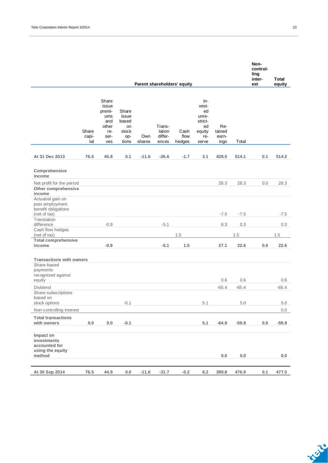|                                                                                  |                       |                                                                       |                                                        |               |                                      |                             |                                                                        |                                |                | Non-<br>control-<br>ling<br>inter- | Total          |
|----------------------------------------------------------------------------------|-----------------------|-----------------------------------------------------------------------|--------------------------------------------------------|---------------|--------------------------------------|-----------------------------|------------------------------------------------------------------------|--------------------------------|----------------|------------------------------------|----------------|
|                                                                                  |                       |                                                                       |                                                        |               |                                      | Parent shareholders' equity |                                                                        |                                |                | est                                | equity         |
|                                                                                  | Share<br>capi-<br>tal | Share<br>issue<br>premi-<br>ums<br>and<br>other<br>re-<br>ser-<br>ves | Share<br>issue<br>based<br>on<br>stock<br>op-<br>tions | Own<br>shares | Trans-<br>lation<br>differ-<br>ences | Cash<br>flow<br>hedges      | In-<br>vest-<br>ed<br>unre-<br>strict-<br>ed<br>equity<br>re-<br>serve | Re-<br>tained<br>earn-<br>ings | Total          |                                    |                |
|                                                                                  |                       |                                                                       |                                                        |               |                                      |                             |                                                                        |                                |                |                                    |                |
| At 31 Dec 2013                                                                   | 76.5                  | 45.8                                                                  | 0.1                                                    | $-11.6$       | $-26.6$                              | $-1.7$                      | 3.1                                                                    | 428.5                          | 514.1          | 0.1                                | 514.2          |
| Comprehensive<br>income                                                          |                       |                                                                       |                                                        |               |                                      |                             |                                                                        |                                |                |                                    |                |
| Net profit for the period<br>Other comprehensive<br>income                       |                       |                                                                       |                                                        |               |                                      |                             |                                                                        | 28.3                           | 28.3           | 0.0                                | 28.3           |
| Actuarial gain on<br>post employment<br>benefit obligations                      |                       |                                                                       |                                                        |               |                                      |                             |                                                                        |                                |                |                                    |                |
| (net of tax)<br>Translation                                                      |                       |                                                                       |                                                        |               |                                      |                             |                                                                        | $-7.5$                         | $-7.5$         |                                    | $-7.5$         |
| difference                                                                       |                       | $-0.9$                                                                |                                                        |               | $-5.1$                               |                             |                                                                        | 6.3                            | 0.3            |                                    | 0.3            |
| Cash flow hedges                                                                 |                       |                                                                       |                                                        |               |                                      |                             |                                                                        |                                |                |                                    |                |
| (net of tax)<br><b>Total comprehensive</b>                                       |                       |                                                                       |                                                        |               |                                      | 1.5                         |                                                                        |                                | 1.5            |                                    | 1.5            |
| income                                                                           |                       | $-0.9$                                                                |                                                        |               | $-5.1$                               | 1.5                         |                                                                        | 27.1                           | 22.6           | 0.0                                | 22.6           |
| <b>Transactions with owners</b><br>Share-based<br>payments<br>recognized against |                       |                                                                       |                                                        |               |                                      |                             |                                                                        |                                |                |                                    |                |
| equity                                                                           |                       |                                                                       |                                                        |               |                                      |                             |                                                                        | 0.6                            | 0.6            |                                    | 0.6            |
| <b>Dividend</b><br>Share subscriptions<br>based on<br>stock options              |                       |                                                                       | $-0.1$                                                 |               |                                      |                             | 5.1                                                                    | $-65.4$                        | $-65.4$<br>5.0 |                                    | $-65.4$<br>5.0 |
| Non-controlling interest                                                         |                       |                                                                       |                                                        |               |                                      |                             |                                                                        |                                |                |                                    | 0.0            |
| <b>Total transactions</b>                                                        |                       |                                                                       |                                                        |               |                                      |                             |                                                                        |                                |                |                                    |                |
| with owners                                                                      | 0.0                   | 0.0                                                                   | $-0.1$                                                 |               |                                      |                             | 5.1                                                                    | $-64.8$                        | $-59.8$        | 0.0                                | $-59.8$        |
| Impact on<br>investments<br>accounted for<br>using the equity<br>method          |                       |                                                                       |                                                        |               |                                      |                             |                                                                        | 0.0                            | $0.0\,$        |                                    | 0.0            |
| At 30 Sep 2014                                                                   | 76.5                  | 44.9                                                                  | 0.0                                                    | $-11.6$       | $-31.7$                              | $-0.2$                      | 8.2                                                                    | 390.8                          | 476.9          | 0.1                                | 477.0          |

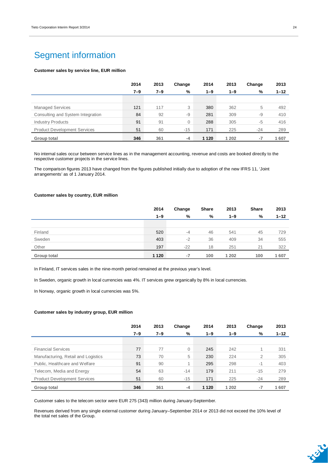## Segment information

#### **Customer sales by service line, EUR million**

|                                     | 2014 | 2013    | Change       | 2014    | 2013    | Change | 2013     |
|-------------------------------------|------|---------|--------------|---------|---------|--------|----------|
|                                     | 7–9  | $7 - 9$ | %            | $1 - 9$ | $1 - 9$ | %      | $1 - 12$ |
|                                     |      |         |              |         |         |        |          |
| <b>Managed Services</b>             | 121  | 117     | 3            | 380     | 362     | 5      | 492      |
| Consulting and System Integration   | 84   | 92      | $-9$         | 281     | 309     | $-9$   | 410      |
| <b>Industry Products</b>            | 91   | 91      | $\mathbf{0}$ | 288     | 305     | $-5$   | 416      |
| <b>Product Development Services</b> | 51   | 60      | $-15$        | 171     | 225     | $-24$  | 289      |
| Group total                         | 346  | 361     | $-4$         | 1 1 2 0 | 1 202   | -7     | 1607     |

No internal sales occur between service lines as in the management accounting, revenue and costs are booked directly to the respective customer projects in the service lines.

The comparison figures 2013 have changed from the figures published initially due to adoption of the new IFRS 11, 'Joint arrangements' as of 1 January 2014.

#### **Customer sales by country, EUR million**

|             | 2014    | Change | <b>Share</b> | 2013    | <b>Share</b> | 2013     |
|-------------|---------|--------|--------------|---------|--------------|----------|
|             | $1 - 9$ | %      | %            | $1 - 9$ | %            | $1 - 12$ |
|             |         |        |              |         |              |          |
| Finland     | 520     | $-4$   | 46           | 541     | 45           | 729      |
| Sweden      | 403     | $-2$   | 36           | 409     | 34           | 555      |
| Other       | 197     | $-22$  | 18           | 251     | 21           | 322      |
| Group total | 1 1 2 0 | $-7$   | 100          | 1 2 0 2 | 100          | 1607     |

In Finland, IT services sales in the nine-month period remained at the previous year's level.

In Sweden, organic growth in local currencies was 4%. IT services grew organically by 8% in local currencies.

In Norway, organic growth in local currencies was 5%.

#### **Customer sales by industry group, EUR million**

|                                     | 2014    | 2013    | Change                   | 2014    | 2013    | Change | 2013     |
|-------------------------------------|---------|---------|--------------------------|---------|---------|--------|----------|
|                                     | $7 - 9$ | $7 - 9$ | %                        | $1 - 9$ | $1 - 9$ | %      | $1 - 12$ |
|                                     |         |         |                          |         |         |        |          |
| <b>Financial Services</b>           | 77      | 77      | 0                        | 245     | 242     |        | 331      |
| Manufacturing, Retail and Logistics | 73      | 70      | 5                        | 230     | 224     | 2      | 305      |
| Public, Healthcare and Welfare      | 91      | 90      | $\overline{\mathcal{A}}$ | 295     | 298     | $-1$   | 403      |
| Telecom, Media and Energy           | 54      | 63      | $-14$                    | 179     | 211     | $-15$  | 279      |
| <b>Product Development Services</b> | 51      | 60      | $-15$                    | 171     | 225     | $-24$  | 289      |
| Group total                         | 346     | 361     | $-4$                     | 1 1 2 0 | 1 202   | -7     | 1607     |

Customer sales to the telecom sector were EUR 275 (343) million during January-September.

Revenues derived from any single external customer during January–September 2014 or 2013 did not exceed the 10% level of the total net sales of the Group.

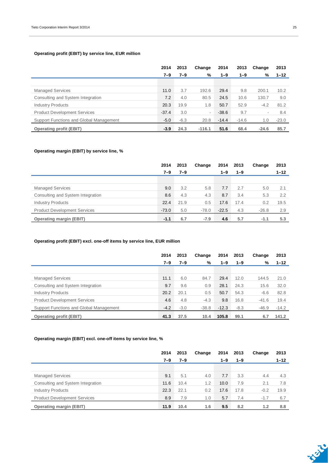### **Operating profit (EBIT) by service line, EUR million**

|                                         | 2014    | 2013    | Change   | 2014    | 2013    | Change                   | 2013     |
|-----------------------------------------|---------|---------|----------|---------|---------|--------------------------|----------|
|                                         | $7 - 9$ | $7 - 9$ | %        | $1 - 9$ | $1 - 9$ | %                        | $1 - 12$ |
|                                         |         |         |          |         |         |                          |          |
| <b>Managed Services</b>                 | 11.0    | 3.7     | 192.6    | 29.4    | 9.8     | 200.1                    | 10.2     |
| Consulting and System Integration       | 7.2     | 4.0     | 80.5     | 24.5    | 10.6    | 130.7                    | 9.0      |
| <b>Industry Products</b>                | 20.3    | 19.9    | 1.8      | 50.7    | 52.9    | $-4.2$                   | 81.2     |
| <b>Product Development Services</b>     | $-37.4$ | 3.0     | $\sim$   | $-38.6$ | 9.7     | $\overline{\phantom{a}}$ | 8.4      |
| Support Functions and Global Management | $-5.0$  | $-6.3$  | 20.8     | $-14.4$ | $-14.6$ | 1.0                      | $-23.0$  |
| <b>Operating profit (EBIT)</b>          | $-3.9$  | 24.3    | $-116.1$ | 51.6    | 68.4    | $-24.6$                  | 85.7     |

### **Operating margin (EBIT) by service line, %**

|                                     | 2014    | 2013    | Change  | 2014    | 2013    | Change  | 2013     |
|-------------------------------------|---------|---------|---------|---------|---------|---------|----------|
|                                     | 7–9     | $7 - 9$ |         | $1 - 9$ | $1 - 9$ |         | $1 - 12$ |
|                                     |         |         |         |         |         |         |          |
| <b>Managed Services</b>             | 9.0     | 3.2     | 5.8     | 7.7     | 2.7     | 5.0     | 2.1      |
| Consulting and System Integration   | 8.6     | 4.3     | 4.3     | 8.7     | 3.4     | 5.3     | 2.2      |
| <b>Industry Products</b>            | 22.4    | 21.9    | 0.5     | 17.6    | 17.4    | 0.2     | 19.5     |
| <b>Product Development Services</b> | $-73.0$ | 5.0     | $-78.0$ | $-22.5$ | 4.3     | $-26.8$ | 2.9      |
| <b>Operating margin (EBIT)</b>      | $-1.1$  | 6.7     | $-7.9$  | 4.6     | 5.7     | $-1.1$  | 5.3      |

### **Operating profit (EBIT) excl. one-off items by service line, EUR million**

|                                         | 2014    | 2013    | Change  | 2014    | 2013    | Change  | 2013     |
|-----------------------------------------|---------|---------|---------|---------|---------|---------|----------|
|                                         | $7 - 9$ | $7 - 9$ | %       | $1 - 9$ | $1 - 9$ | %       | $1 - 12$ |
|                                         |         |         |         |         |         |         |          |
| <b>Managed Services</b>                 | 11.1    | 6.0     | 84.7    | 29.4    | 12.0    | 144.5   | 21.0     |
| Consulting and System Integration       | 9.7     | 9.6     | 0.9     | 28.1    | 24.3    | 15.6    | 32.0     |
| <b>Industry Products</b>                | 20.2    | 20.1    | 0.5     | 50.7    | 54.3    | $-6.6$  | 82.8     |
| <b>Product Development Services</b>     | 4.6     | 4.8     | $-4.3$  | 9.8     | 16.8    | $-41.6$ | 19.4     |
| Support Functions and Global Management | $-4.2$  | $-3.0$  | $-38.8$ | $-12.3$ | $-8.3$  | $-46.9$ | $-14.2$  |
| <b>Operating profit (EBIT)</b>          | 41.3    | 37.5    | 10.4    | 105.8   | 99.1    | 6.7     | 141.2    |

### **Operating margin (EBIT) excl. one-off items by service line, %**

|                                     | 2014 | 2013    | Change | 2014    | 2013    | Change | 2013     |
|-------------------------------------|------|---------|--------|---------|---------|--------|----------|
|                                     | 7–9  | $7 - 9$ |        | $1 - 9$ | $1 - 9$ |        | $1 - 12$ |
|                                     |      |         |        |         |         |        |          |
| <b>Managed Services</b>             | 9.1  | 5.1     | 4.0    | 7.7     | 3.3     | 4.4    | 4.3      |
| Consulting and System Integration   | 11.6 | 10.4    | 1.2    | 10.0    | 7.9     | 2.1    | 7.8      |
| <b>Industry Products</b>            | 22.3 | 22.1    | 0.2    | 17.6    | 17.8    | $-0.2$ | 19.9     |
| <b>Product Development Services</b> | 8.9  | 7.9     | 1.0    | 5.7     | 7.4     | $-1.7$ | 6.7      |
| <b>Operating margin (EBIT)</b>      | 11.9 | 10.4    | 1.6    | 9.5     | 8.2     | 1.2    | 8.8      |

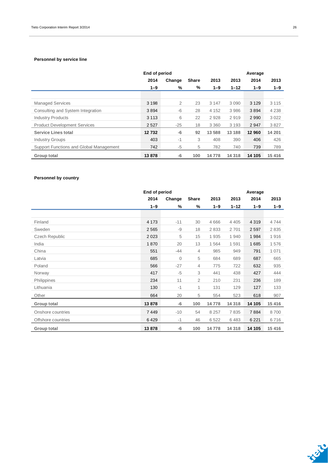### **Personnel by service line**

|                                         | End of period |        |              |         | Average  |         |         |  |
|-----------------------------------------|---------------|--------|--------------|---------|----------|---------|---------|--|
|                                         | 2014          | Change | <b>Share</b> | 2013    | 2013     | 2014    | 2013    |  |
|                                         | $1 - 9$       | %      | %            | $1 - 9$ | $1 - 12$ | $1 - 9$ | $1 - 9$ |  |
|                                         |               |        |              |         |          |         |         |  |
| <b>Managed Services</b>                 | 3 1 9 8       | 2      | 23           | 3 1 4 7 | 3 0 9 0  | 3 1 2 9 | 3 1 1 5 |  |
| Consulting and System Integration       | 3894          | -6     | 28           | 4 1 5 2 | 3986     | 3894    | 4 2 3 8 |  |
| <b>Industry Products</b>                | 3 1 1 3       | 6      | 22           | 2928    | 2919     | 2990    | 3022    |  |
| <b>Product Development Services</b>     | 2527          | $-25$  | 18           | 3 3 6 0 | 3 1 9 3  | 2947    | 3827    |  |
| <b>Service Lines total</b>              | 12732         | -6     | 92           | 13 588  | 13 188   | 12 960  | 14 201  |  |
| <b>Industry Groups</b>                  | 403           | $-1$   | 3            | 408     | 390      | 406     | 426     |  |
| Support Functions and Global Management | 742           | $-5$   | 5            | 782     | 740      | 739     | 789     |  |
| <b>Group total</b>                      | 13878         | -6     | 100          | 14 778  | 14 3 18  | 14 105  | 15 416  |  |

### **Personnel by country**

| End of period         |         |        |                |         |          | Average |         |
|-----------------------|---------|--------|----------------|---------|----------|---------|---------|
|                       | 2014    | Change | Share          | 2013    | 2013     | 2014    | 2013    |
|                       | $1 - 9$ | %      | %              | $1 - 9$ | $1 - 12$ | $1 - 9$ | $1 - 9$ |
|                       |         |        |                |         |          |         |         |
| Finland               | 4 1 7 3 | $-11$  | 30             | 4666    | 4 4 0 5  | 4 3 1 9 | 4744    |
| Sweden                | 2565    | -9     | 18             | 2833    | 2701     | 2597    | 2835    |
| <b>Czech Republic</b> | 2023    | 5      | 15             | 1935    | 1940     | 1984    | 1916    |
| India                 | 1870    | 20     | 13             | 1564    | 1591     | 1685    | 1576    |
| China                 | 551     | $-44$  | 4              | 985     | 949      | 791     | 1 0 7 1 |
| Latvia                | 685     | 0      | 5              | 684     | 689      | 687     | 665     |
| Poland                | 566     | $-27$  | 4              | 775     | 722      | 632     | 935     |
| Norway                | 417     | $-5$   | 3              | 441     | 438      | 427     | 444     |
| Philippines           | 234     | 11     | $\overline{2}$ | 210     | 231      | 236     | 189     |
| Lithuania             | 130     | $-1$   | 1              | 131     | 129      | 127     | 133     |
| Other                 | 664     | 20     | 5              | 554     | 523      | 618     | 907     |
| Group total           | 13878   | -6     | 100            | 14778   | 14 3 18  | 14 105  | 15 416  |
| Onshore countries     | 7449    | $-10$  | 54             | 8 2 5 7 | 7835     | 7884    | 8700    |
| Offshore countries    | 6429    | $-1$   | 46             | 6522    | 6483     | 6 2 2 1 | 6716    |
| Group total           | 13878   | $-6$   | 100            | 14778   | 14 3 18  | 14 105  | 15 416  |

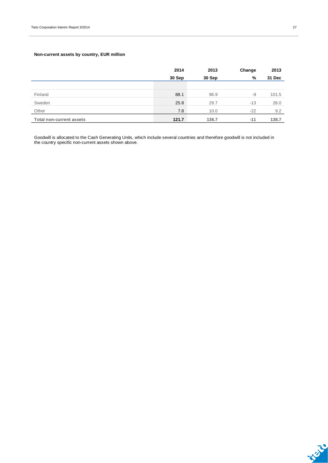### **Non-current assets by country, EUR million**

|                                 | 2014   | 2013   | Change | 2013   |
|---------------------------------|--------|--------|--------|--------|
|                                 | 30 Sep | 30 Sep | %      | 31 Dec |
|                                 |        |        |        |        |
| Finland                         | 88.1   | 96.9   | -9     | 101.5  |
| Sweden                          | 25.8   | 29.7   | $-13$  | 28.0   |
| Other                           | 7.8    | 10.0   | $-22$  | 9.2    |
| <b>Total non-current assets</b> | 121.7  | 136.7  | $-11$  | 138.7  |

Goodwill is allocated to the Cash Generating Units, which include several countries and therefore goodwill is not included in the country specific non-current assets shown above.

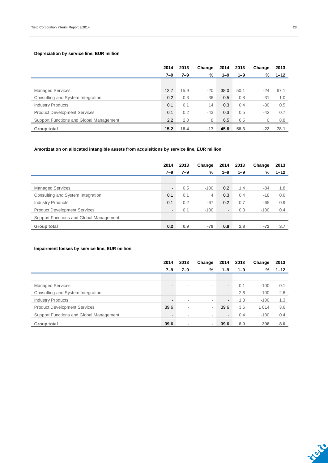### **Depreciation by service line, EUR million**

|                                         | 2014    | 2013    | Change | 2014    | 2013    | Change   | 2013     |
|-----------------------------------------|---------|---------|--------|---------|---------|----------|----------|
|                                         | $7 - 9$ | $7 - 9$ | %      | $1 - 9$ | $1 - 9$ | %        | $1 - 12$ |
|                                         |         |         |        |         |         |          |          |
| <b>Managed Services</b>                 | 12.7    | 15.9    | $-20$  | 38.0    | 50.1    | -24      | 67.1     |
| Consulting and System Integration       | 0.2     | 0.3     | $-36$  | 0.5     | 0.8     | $-31$    | 1.0      |
| <b>Industry Products</b>                | 0.1     | 0.1     | 14     | 0.3     | 0.4     | $-30$    | 0.5      |
| <b>Product Development Services</b>     | 0.1     | 0.2     | $-43$  | 0.3     | 0.5     | $-42$    | 0.7      |
| Support Functions and Global Management | 2.2     | 2.0     | 8      | 6.5     | 6.5     | $\Omega$ | 8.8      |
| Group total                             | 15.2    | 18.4    | $-17$  | 45.6    | 58.3    | $-22$    | 78.1     |

### **Amortization on allocated intangible assets from acquisitions by service line, EUR million**

|                                         | 2014                     | 2013 | Change                   | 2014           | 2013                     | Change | 2013     |
|-----------------------------------------|--------------------------|------|--------------------------|----------------|--------------------------|--------|----------|
|                                         | 7–9                      | 7–9  | %                        | $1 - 9$        | $1 - 9$                  | %      | $1 - 12$ |
|                                         |                          |      |                          |                |                          |        |          |
| <b>Managed Services</b>                 | $\overline{\phantom{0}}$ | 0.5  | $-100$                   | 0.2            | 1.4                      | -84    | 1.8      |
| Consulting and System Integration       | 0.1                      | 0.1  | 4                        | 0.3            | 0.4                      | $-18$  | 0.6      |
| <b>Industry Products</b>                | 0.1                      | 0.2  | $-67$                    | 0.2            | 0.7                      | $-65$  | 0.9      |
| <b>Product Development Services</b>     | -                        | 0.1  | $-100$                   | $\blacksquare$ | 0.3                      | $-100$ | 0.4      |
| Support Functions and Global Management | $\overline{\phantom{a}}$ |      | $\overline{\phantom{a}}$ | ۰              | $\overline{\phantom{a}}$ |        |          |
| Group total                             | 0.2                      | 0.9  | $-79$                    | 0.8            | 2.8                      | $-72$  | 3.7      |

### **Impairment losses by service line, EUR million**

|                                         | 2014                     | 2013   | Change                   | 2014           | 2013    | Change  | 2013     |
|-----------------------------------------|--------------------------|--------|--------------------------|----------------|---------|---------|----------|
|                                         | $7 - 9$                  | 7–9    | %                        | 1–9            | $1 - 9$ | %       | $1 - 12$ |
|                                         |                          |        |                          |                |         |         |          |
| <b>Managed Services</b>                 | $\blacksquare$           | $\sim$ | $\overline{\phantom{a}}$ | $\sim$         | 0.1     | $-100$  | 0.1      |
| Consulting and System Integration       | $\overline{\phantom{a}}$ | ۰      | ۰.                       | $\blacksquare$ | 2.6     | $-100$  | 2.6      |
| <b>Industry Products</b>                | $\overline{\phantom{a}}$ | ۰      | $\overline{\phantom{a}}$ | $\sim$         | 1.3     | $-100$  | 1.3      |
| <b>Product Development Services</b>     | 39.6                     | ۰      | $\overline{\phantom{a}}$ | 39.6           | 3.6     | 1 0 1 4 | 3.6      |
| Support Functions and Global Management | $\overline{\phantom{a}}$ |        | $\overline{\phantom{a}}$ | $\blacksquare$ | 0.4     | $-100$  | 0.4      |
| Group total                             | 39.6                     |        | $\,$                     | 39.6           | 8.0     | 398     | 8.0      |

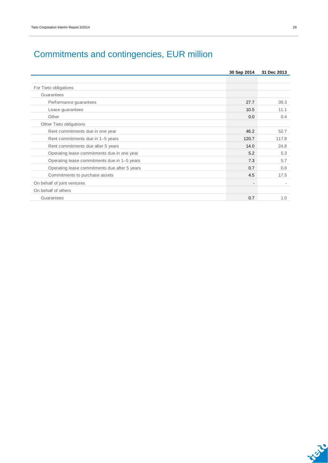|                                               | 30 Sep 2014              | 31 Dec 2013 |
|-----------------------------------------------|--------------------------|-------------|
|                                               |                          |             |
| For Tieto obligations                         |                          |             |
| Guarantees                                    |                          |             |
| Performance guarantees                        | 27.7                     | 39.3        |
| Lease guarantees                              | 10.5                     | 11.1        |
| Other                                         | 0.0                      | 0.4         |
| Other Tieto obligations                       |                          |             |
| Rent commitments due in one year              | 46.2                     | 52.7        |
| Rent commitments due in 1-5 years             | 120.7                    | 117.8       |
| Rent commitments due after 5 years            | 14.0                     | 24.8        |
| Operating lease commitments due in one year   | 5.2                      | 5.3         |
| Operating lease commitments due in 1-5 years  | 7.3                      | 5.7         |
| Operating lease commitments due after 5 years | 0.7                      | 0.8         |
| Commitments to purchase assets                | 4.5                      | 17.5        |
| On behalf of joint ventures                   | $\overline{\phantom{a}}$ |             |
| On behalf of others                           |                          |             |
| Guarantees                                    | 0.7                      | 1.0         |

## Commitments and contingencies, EUR million

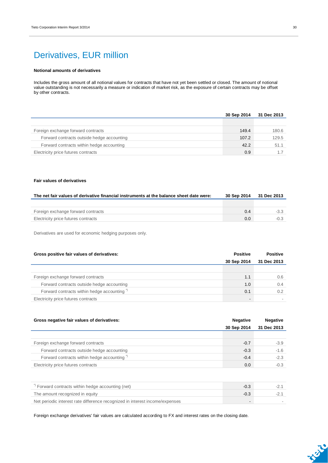## Derivatives, EUR million

#### **Notional amounts of derivatives**

Includes the gross amount of all notional values for contracts that have not yet been settled or closed. The amount of notional value outstanding is not necessarily a measure or indication of market risk, as the exposure of certain contracts may be offset by other contracts.

|                                            | 30 Sep 2014 | 31 Dec 2013 |
|--------------------------------------------|-------------|-------------|
|                                            |             |             |
| Foreign exchange forward contracts         | 149.4       | 180.6       |
| Forward contracts outside hedge accounting | 107.2       | 129.5       |
| Forward contracts within hedge accounting  | 42.2        | 51.1        |
| Electricity price futures contracts        | 0.9         |             |

#### **Fair values of derivatives**

| The net fair values of derivative financial instruments at the balance sheet date were: | 30 Sep 2014 | 31 Dec 2013 |
|-----------------------------------------------------------------------------------------|-------------|-------------|
|                                                                                         |             |             |
| Foreign exchange forward contracts                                                      | 0.4         | $-3.3$      |
| Electricity price futures contracts                                                     | 0.0         |             |

Derivatives are used for economic hedging purposes only.

| Gross positive fair values of derivatives: | <b>Positive</b> | <b>Positive</b> |  |
|--------------------------------------------|-----------------|-----------------|--|
|                                            | 30 Sep 2014     | 31 Dec 2013     |  |
|                                            |                 |                 |  |
| Foreign exchange forward contracts         | 1.1             | 0.6             |  |
| Forward contracts outside hedge accounting | 1.0             | 0.4             |  |
| Forward contracts within hedge accounting" | 0.1             | 0.2             |  |
| Electricity price futures contracts        | $\blacksquare$  |                 |  |

| Gross negative fair values of derivatives:             | <b>Negative</b> | <b>Negative</b> |
|--------------------------------------------------------|-----------------|-----------------|
|                                                        | 30 Sep 2014     | 31 Dec 2013     |
|                                                        |                 |                 |
| Foreign exchange forward contracts                     | $-0.7$          | $-3.9$          |
| Forward contracts outside hedge accounting             | $-0.3$          | $-1.6$          |
| Forward contracts within hedge accounting <sup>*</sup> | $-0.4$          | $-2.3$          |
| Electricity price futures contracts                    | 0.0             | $-0.3$          |
|                                                        |                 |                 |

| Forward contracts within hedge accounting (net)                              | -0.3   |  |
|------------------------------------------------------------------------------|--------|--|
| The amount recognized in equity                                              | $-0.3$ |  |
| Net periodic interest rate difference recognized in interest income/expenses | $\sim$ |  |

Foreign exchange derivatives' fair values are calculated according to FX and interest rates on the closing date.

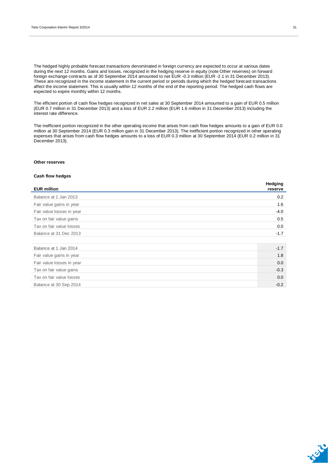The hedged highly probable forecast transactions denominated in foreign currency are expected to occur at various dates during the next 12 months. Gains and losses, recognized in the hedging reserve in equity (note Other reserves) on forward foreign exchange contracts as of 30 September 2014 amounted to net EUR -0.3 million (EUR -2.1 in 31 December 2013). These are recognized in the income statement in the current period or periods during which the hedged forecast transactions affect the income statement. This is usually within 12 months of the end of the reporting period. The hedged cash flows are expected to expire monthly within 12 months.

The efficient portion of cash flow hedges recognized in net sales at 30 September 2014 amounted to a gain of EUR 0.5 million (EUR 0.7 million in 31 December 2013) and a loss of EUR 2.2 million (EUR 1.6 million in 31 December 2013) including the interest rate difference.

The inefficient portion recognized in the other operating income that arises from cash flow hedges amounts to a gain of EUR 0.0 million at 30 September 2014 (EUR 0.3 million gain in 31 December 2013). The inefficient portion recognized in other operating expenses that arises from cash flow hedges amounts to a loss of EUR 0.3 million at 30 September 2014 (EUR 0.2 million in 31 December 2013).

#### **Other reserves**

#### **Cash flow hedges**

| <b>EUR million</b>        | Hedging<br>reserve |
|---------------------------|--------------------|
| Balance at 1 Jan 2013     | 0.2                |
| Fair value gains in year  | 1.6                |
| Fair value losses in year | $-4.0$             |
| Tax on fair value gains   | 0.5                |
| Tax on fair value losses  | 0.0                |
| Balance at 31 Dec 2013    | $-1.7$             |
|                           |                    |
| Balance at 1 Jan 2014     | $-1.7$             |
| Fair value gains in year  | 1.8                |
| Fair value losses in year | 0.0                |
| Tax on fair value gains   | $-0.3$             |
| Tax on fair value losses  | 0.0                |
| Balance at 30 Sep 2014    | $-0.2$             |
|                           |                    |

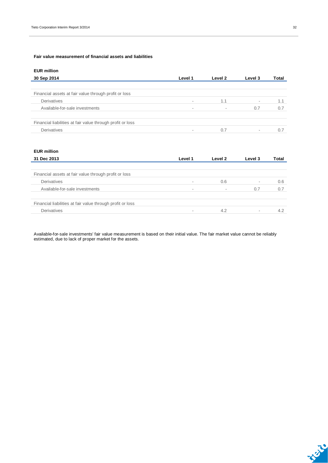#### **Fair value measurement of financial assets and liabilities**

### **EUR million**

| 30 Sep 2014                                                | Level 1                  | Level 2 | Level 3                  | Total |
|------------------------------------------------------------|--------------------------|---------|--------------------------|-------|
|                                                            |                          |         |                          |       |
| Financial assets at fair value through profit or loss      |                          |         |                          |       |
| <b>Derivatives</b>                                         | $\overline{\phantom{a}}$ | 1.1     | $\overline{\phantom{a}}$ | 1.1   |
| Available-for-sale investments                             | ۰                        |         | 0.7                      | 0.7   |
|                                                            |                          |         |                          |       |
| Financial liabilities at fair value through profit or loss |                          |         |                          |       |
| Derivatives                                                |                          | 0.7     |                          |       |

#### **EUR million**

| 31 Dec 2013                                                | Level 1                  | Level 2                  | Level 3                  | Total |
|------------------------------------------------------------|--------------------------|--------------------------|--------------------------|-------|
|                                                            |                          |                          |                          |       |
| Financial assets at fair value through profit or loss      |                          |                          |                          |       |
| Derivatives                                                | ۰                        | 0.6                      | $\overline{\phantom{a}}$ | 0.6   |
| Available-for-sale investments                             | $\overline{\phantom{a}}$ | $\overline{\phantom{a}}$ | 0.7                      | 0.7   |
|                                                            |                          |                          |                          |       |
| Financial liabilities at fair value through profit or loss |                          |                          |                          |       |
| Derivatives                                                |                          | 4.2                      | $\overline{\phantom{a}}$ | 4.2   |

Available-for-sale investments' fair value measurement is based on their initial value. The fair market value cannot be reliably estimated, due to lack of proper market for the assets.

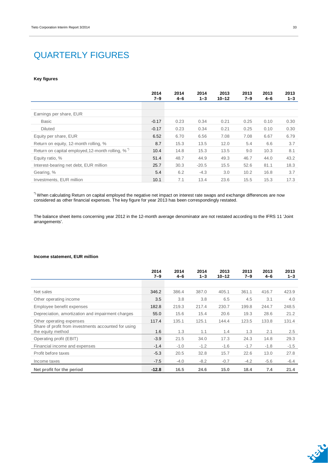## QUARTERLY FIGURES

#### **Key figures**

|                                                              | 2014<br>$7 - 9$ | 2014<br>$4 - 6$ | 2014<br>$1 - 3$ | 2013<br>$10 - 12$ | 2013<br>$7 - 9$ | 2013<br>4-6 | 2013<br>$1 - 3$ |
|--------------------------------------------------------------|-----------------|-----------------|-----------------|-------------------|-----------------|-------------|-----------------|
|                                                              |                 |                 |                 |                   |                 |             |                 |
| Earnings per share, EUR                                      |                 |                 |                 |                   |                 |             |                 |
| <b>Basic</b>                                                 | $-0.17$         | 0.23            | 0.34            | 0.21              | 0.25            | 0.10        | 0.30            |
| <b>Diluted</b>                                               | $-0.17$         | 0.23            | 0.34            | 0.21              | 0.25            | 0.10        | 0.30            |
| Equity per share, EUR                                        | 6.52            | 6.70            | 6.56            | 7.08              | 7.08            | 6.67        | 6.79            |
| Return on equity, 12-month rolling, %                        | 8.7             | 15.3            | 13.5            | 12.0              | 5.4             | 6.6         | 3.7             |
| Return on capital employed, 12-month rolling, % <sup>"</sup> | 10.4            | 14.8            | 15.3            | 13.5              | 9.0             | 10.3        | 8.1             |
| Equity ratio, %                                              | 51.4            | 48.7            | 44.9            | 49.3              | 46.7            | 44.0        | 43.2            |
| Interest-bearing net debt, EUR million                       | 25.7            | 30.3            | $-20.5$         | 15.5              | 52.6            | 81.1        | 18.3            |
| Gearing, %                                                   | 5.4             | 6.2             | $-4.3$          | 3.0               | 10.2            | 16.8        | 3.7             |
| Investments, EUR million                                     | 10.1            | 7.1             | 13.4            | 23.6              | 15.5            | 15.3        | 17.3            |

 $^{\circ}$  When calculating Return on capital employed the negative net impact on interest rate swaps and exchange differences are now considered as other financial expenses. The key figure for year 2013 has been correspondingly restated.

The balance sheet items concerning year 2012 in the 12-month average denominator are not restated according to the IFRS 11 'Joint arrangements'.

#### **Income statement, EUR million**

|                                                                           | 2014<br>$7 - 9$ | 2014<br>$4 - 6$ | 2014<br>$1 - 3$ | 2013<br>$10 - 12$ | 2013<br>$7 - 9$ | 2013<br>$4 - 6$ | 2013<br>$1 - 3$ |
|---------------------------------------------------------------------------|-----------------|-----------------|-----------------|-------------------|-----------------|-----------------|-----------------|
|                                                                           |                 |                 |                 |                   |                 |                 |                 |
| Net sales                                                                 | 346.2           | 386.4           | 387.0           | 405.1             | 361.1           | 416.7           | 423.9           |
| Other operating income                                                    | 3.5             | 3.8             | 3.8             | 6.5               | 4.5             | 3.1             | 4.0             |
| Employee benefit expenses                                                 | 182.8           | 219.3           | 217.4           | 230.7             | 199.8           | 244.7           | 248.5           |
| Depreciation, amortization and impairment charges                         | 55.0            | 15.6            | 15.4            | 20.6              | 19.3            | 28.6            | 21.2            |
| Other operating expenses                                                  | 117.4           | 135.1           | 125.1           | 144.4             | 123.5           | 133.8           | 131.4           |
| Share of profit from investments accounted for using<br>the equity method | 1.6             | 1.3             | 1.1             | 1.4               | 1.3             | 2.1             | 2.5             |
| Operating profit (EBIT)                                                   | $-3.9$          | 21.5            | 34.0            | 17.3              | 24.3            | 14.8            | 29.3            |
| Financial income and expenses                                             | $-1.4$          | $-1.0$          | $-1.2$          | $-1.6$            | $-1.7$          | $-1.8$          | $-1.5$          |
| Profit before taxes                                                       | $-5.3$          | 20.5            | 32.8            | 15.7              | 22.6            | 13.0            | 27.8            |
| Income taxes                                                              | $-7.5$          | $-4.0$          | $-8.2$          | $-0.7$            | $-4.2$          | $-5.6$          | $-6.4$          |
| Net profit for the period                                                 | $-12.8$         | 16.5            | 24.6            | 15.0              | 18.4            | 7.4             | 21.4            |

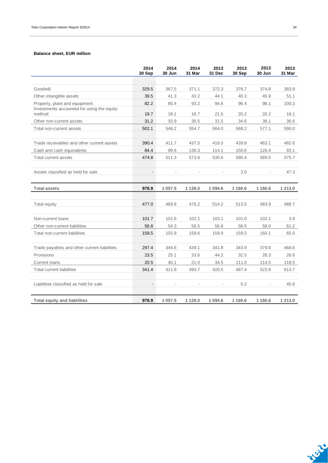#### **Balance sheet, EUR million**

|                                                      | 2014<br>30 Sep           | 2014<br>30 Jun | 2014<br>31 Mar | 2013<br>31 Dec | 2013<br>30 Sep | 2013<br>30 Jun | 2013<br>31 Mar |
|------------------------------------------------------|--------------------------|----------------|----------------|----------------|----------------|----------------|----------------|
|                                                      |                          |                |                |                |                |                |                |
| Goodwill                                             | 329.5                    | 367.5          | 371.1          | 372.3          | 376.7          | 374.8          | 383.9          |
| Other intangible assets                              | 39.5                     | 41.3           | 43.2           | 44.1           | 40.3           | 45.9           | 51.1           |
| Property, plant and equipment                        | 82.2                     | 85.4           | 93.2           | 94.6           | 96.4           | 98.1           | 100.3          |
| Investments accounted for using the equity<br>method | 19.7                     | 18.1           | 16.7           | 21.5           | 20.2           | 20.2           | 18.1           |
| Other non-current assets                             | 31.2                     | 33.9           | 30.5           | 31.5           | 34.6           | 38.1           | 36.6           |
| Total non-current assets                             | 502.1                    | 546.2          | 554.7          | 564.0          | 568.2          | 577.1          | 590.0          |
| Trade receivables and other current assets           | 390.4                    | 411.7          | 437.5          | 416.5          | 439.8          | 463.1          | 482.6          |
| Cash and cash equivalents                            | 84.4                     | 99.6           | 136.3          | 114.1          | 150.6          | 126.4          | 93.1           |
| Total current assets                                 | 474.8                    | 511.3          | 573.8          | 530.6          | 590.4          | 589.5          | 575.7          |
| Assets classified as held for sale                   | $\overline{\phantom{a}}$ |                |                |                | 2.0            |                | 47.3           |
| <b>Total assets</b>                                  | 976.9                    | 1 057.5        | 1 1 28.5       | 1 0 9 4.6      | 1 1 6 0.6      | 1 1 66.6       | 1 213.0        |
|                                                      |                          |                |                |                |                |                |                |
| Total equity                                         | 477.0                    | 489.8          | 476.2          | 514.2          | 513.5          | 483.9          | 488.7          |
| Non-current loans                                    | 101.7                    | 101.6          | 102.1          | 103.1          | 101.0          | 102.1          | 3.8            |
| Other non-current liabilities                        | 56.8                     | 54.3           | 56.5           | 56.8           | 58.5           | 58.0           | 61.2           |
| Total non-current liabilities                        | 158.5                    | 155.9          | 158.6          | 159.9          | 159.5          | 160.1          | 65.0           |
| Trade payables and other current liabilities         | 297.4                    | 346.6          | 439.1          | 341.8          | 343.9          | 379.8          | 468.6          |
| Provisions                                           | 23.5                     | 25.1           | 33.6           | 44.2           | 32.5           | 28.3           | 26.6           |
| <b>Current loans</b>                                 | 20.5                     | 40.1           | 21.0           | 34.5           | 111.0          | 114.5          | 118.5          |
| <b>Total current liabilities</b>                     | 341.4                    | 411.8          | 493.7          | 420.5          | 487.4          | 522.6          | 613.7          |
| Liabilities classified as held for sale              |                          |                | ÷,             | $\overline{a}$ | 0.2            |                | 45.6           |
| <b>Total equity and liabilities</b>                  | 976.9                    | 1 0 5 7.5      | 1 1 28.5       | 1 0 9 4 .6     | 1 1 6 0.6      | 1 1 6 6.6      | 1 213.0        |

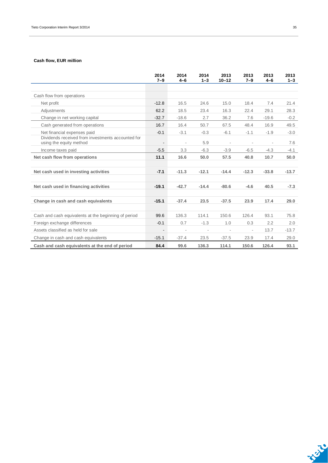### **Cash flow, EUR million**

|                                                                              | 2014<br>$7 - 9$          | 2014<br>$4 - 6$ | 2014<br>$1 - 3$          | 2013<br>$10 - 12$ | 2013<br>$7 - 9$ | 2013<br>$4 - 6$ | 2013<br>$1 - 3$ |
|------------------------------------------------------------------------------|--------------------------|-----------------|--------------------------|-------------------|-----------------|-----------------|-----------------|
|                                                                              |                          |                 |                          |                   |                 |                 |                 |
| Cash flow from operations                                                    |                          |                 |                          |                   |                 |                 |                 |
| Net profit                                                                   | $-12.8$                  | 16.5            | 24.6                     | 15.0              | 18.4            | 7.4             | 21.4            |
| Adjustments                                                                  | 62.2                     | 18.5            | 23.4                     | 16.3              | 22.4            | 29.1            | 28.3            |
| Change in net working capital                                                | $-32.7$                  | $-18.6$         | 2.7                      | 36.2              | 7.6             | $-19.6$         | $-0.2$          |
| Cash generated from operations                                               | 16.7                     | 16.4            | 50.7                     | 67.5              | 48.4            | 16.9            | 49.5            |
| Net financial expenses paid                                                  | $-0.1$                   | $-3.1$          | $-0.3$                   | $-6.1$            | $-1.1$          | $-1.9$          | $-3.0$          |
| Dividends received from investments accounted for<br>using the equity method | $\overline{\phantom{a}}$ |                 | 5.9                      |                   |                 | $\bar{a}$       | 7.6             |
| Income taxes paid                                                            | $-5.5$                   | 3.3             | $-6.3$                   | $-3.9$            | $-6.5$          | $-4.3$          | $-4.1$          |
| Net cash flow from operations                                                | 11.1                     | 16.6            | 50.0                     | 57.5              | 40.8            | 10.7            | 50.0            |
|                                                                              |                          |                 |                          |                   |                 |                 |                 |
| Net cash used in investing activities                                        | $-7.1$                   | $-11.3$         | $-12.1$                  | $-14.4$           | $-12.3$         | $-33.8$         | $-13.7$         |
| Net cash used in financing activities                                        | $-19.1$                  | $-42.7$         | $-14.4$                  | $-80.6$           | $-4.6$          | 40.5            | $-7.3$          |
| Change in cash and cash equivalents                                          | $-15.1$                  | $-37.4$         | 23.5                     | $-37.5$           | 23.9            | 17.4            | 29.0            |
| Cash and cash equivalents at the beginning of period                         | 99.6                     | 136.3           | 114.1                    | 150.6             | 126.4           | 93.1            | 75.8            |
| Foreign exchange differences                                                 | $-0.1$                   | 0.7             | $-1.3$                   | 1.0               | 0.3             | 2.2             | 2.0             |
| Assets classified as held for sale                                           | $\blacksquare$           |                 | $\overline{\phantom{a}}$ |                   |                 | 13.7            | $-13.7$         |
| Change in cash and cash equivalents                                          | $-15.1$                  | $-37.4$         | 23.5                     | $-37.5$           | 23.9            | 17.4            | 29.0            |
| Cash and cash equivalents at the end of period                               | 84.4                     | 99.6            | 136.3                    | 114.1             | 150.6           | 126.4           | 93.1            |

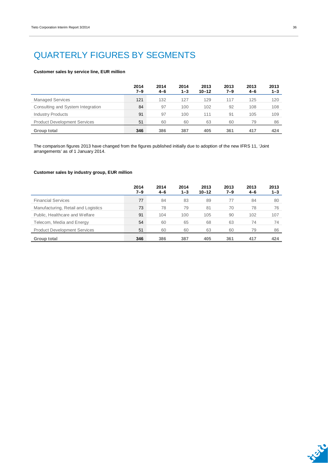## QUARTERLY FIGURES BY SEGMENTS

#### **Customer sales by service line, EUR million**

|                                     | 2014<br>7–9 | 2014<br>$4 - 6$ | 2014<br>$1 - 3$ | 2013<br>$10 - 12$ | 2013<br>7–9 | 2013<br>4-6 | 2013<br>$1 - 3$ |
|-------------------------------------|-------------|-----------------|-----------------|-------------------|-------------|-------------|-----------------|
| <b>Managed Services</b>             | 121         | 132             | 127             | 129               | 117         | 125         | 120             |
| Consulting and System Integration   | 84          | 97              | 100             | 102               | 92          | 108         | 108             |
| <b>Industry Products</b>            | 91          | 97              | 100             | 111               | 91          | 105         | 109             |
| <b>Product Development Services</b> | 51          | 60              | 60              | 63                | 60          | 79          | 86              |
| Group total                         | 346         | 386             | 387             | 405               | 361         | 417         | 424             |

The comparison figures 2013 have changed from the figures published initially due to adoption of the new IFRS 11, 'Joint arrangements' as of 1 January 2014.

#### **Customer sales by industry group, EUR million**

|                                     | 2014<br>7–9 | 2014<br>$4 - 6$ | 2014<br>$1 - 3$ | 2013<br>$10 - 12$ | 2013<br>7–9 | 2013<br>$4 - 6$ | 2013<br>$1 - 3$ |
|-------------------------------------|-------------|-----------------|-----------------|-------------------|-------------|-----------------|-----------------|
| <b>Financial Services</b>           | 77          | 84              | 83              | 89                | 77          | 84              | 80              |
| Manufacturing, Retail and Logistics | 73          | 78              | 79              | 81                | 70          | 78              | 76              |
| Public, Healthcare and Welfare      | 91          | 104             | 100             | 105               | 90          | 102             | 107             |
| Telecom, Media and Energy           | 54          | 60              | 65              | 68                | 63          | 74              | 74              |
| <b>Product Development Services</b> | 51          | 60              | 60              | 63                | 60          | 79              | 86              |
| Group total                         | 346         | 386             | 387             | 405               | 361         | 417             | 424             |

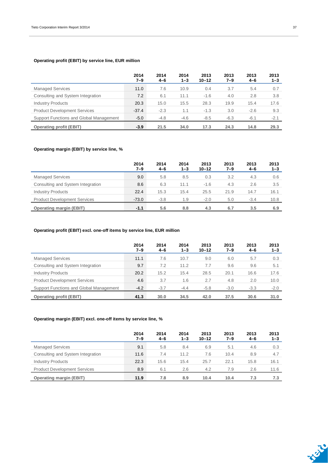### **Operating profit (EBIT) by service line, EUR million**

|                                         | 2014<br>$7 - 9$ | 2014<br>$4 - 6$ | 2014<br>$1 - 3$ | 2013<br>$10 - 12$ | 2013<br>7–9 | 2013<br>$4 - 6$ | 2013<br>$1 - 3$ |
|-----------------------------------------|-----------------|-----------------|-----------------|-------------------|-------------|-----------------|-----------------|
| <b>Managed Services</b>                 | 11.0            | 7.6             | 10.9            | 0.4               | 3.7         | 5.4             | 0.7             |
| Consulting and System Integration       | 7.2             | 6.1             | 11.1            | $-1.6$            | 4.0         | 2.8             | 3.8             |
| <b>Industry Products</b>                | 20.3            | 15.0            | 15.5            | 28.3              | 19.9        | 15.4            | 17.6            |
| <b>Product Development Services</b>     | $-37.4$         | $-2.3$          | 1.1             | $-1.3$            | 3.0         | $-2.6$          | 9.3             |
| Support Functions and Global Management | $-5.0$          | $-4.8$          | $-4.6$          | $-8.5$            | $-6.3$      | $-6.1$          | $-2.1$          |
| <b>Operating profit (EBIT)</b>          | $-3.9$          | 21.5            | 34.0            | 17.3              | 24.3        | 14.8            | 29.3            |

### **Operating margin (EBIT) by service line, %**

|                                     | 2014<br>$7 - 9$ | 2014<br>$4 - 6$ | 2014<br>$1 - 3$ | 2013<br>$10 - 12$ | 2013<br>7–9 | 2013<br>4-6 | 2013<br>$1 - 3$ |
|-------------------------------------|-----------------|-----------------|-----------------|-------------------|-------------|-------------|-----------------|
| <b>Managed Services</b>             | 9.0             | 5.8             | 8.5             | 0.3               | 3.2         | 4.3         | 0.6             |
| Consulting and System Integration   | 8.6             | 6.3             | 11.1            | $-1.6$            | 4.3         | 2.6         | 3.5             |
| <b>Industry Products</b>            | 22.4            | 15.3            | 15.4            | 25.5              | 21.9        | 14.7        | 16.1            |
| <b>Product Development Services</b> | $-73.0$         | $-3.8$          | 1.9             | $-2.0$            | 5.0         | $-3.4$      | 10.8            |
| <b>Operating margin (EBIT)</b>      | $-1.1$          | 5.6             | 8.8             | 4.3               | 6.7         | 3.5         | 6.9             |

### **Operating profit (EBIT) excl. one-off items by service line, EUR million**

|                                         | 2014<br>$7 - 9$ | 2014<br>$4 - 6$ | 2014<br>$1 - 3$ | 2013<br>$10 - 12$ | 2013<br>7–9 | 2013<br>$4 - 6$ | 2013<br>$1 - 3$ |
|-----------------------------------------|-----------------|-----------------|-----------------|-------------------|-------------|-----------------|-----------------|
| <b>Managed Services</b>                 | 11.1            | 7.6             | 10.7            | 9.0               | 6.0         | 5.7             | 0.3             |
| Consulting and System Integration       | 9.7             | 7.2             | 11.2            | 7.7               | 9.6         | 9.6             | 5.1             |
| <b>Industry Products</b>                | 20.2            | 15.2            | 15.4            | 28.5              | 20.1        | 16.6            | 17.6            |
| <b>Product Development Services</b>     | 4.6             | 3.7             | 1.6             | 2.7               | 4.8         | 2.0             | 10.0            |
| Support Functions and Global Management | $-4.2$          | $-3.7$          | $-4.4$          | $-5.8$            | $-3.0$      | $-3.3$          | $-2.0$          |
| <b>Operating profit (EBIT)</b>          | 41.3            | 30.0            | 34.5            | 42.0              | 37.5        | 30.6            | 31.0            |

### **Operating margin (EBIT) excl. one-off items by service line, %**

|                                     | 2014<br>$7 - 9$ | 2014<br>$4 - 6$ | 2014<br>$1 - 3$ | 2013<br>$10 - 12$ | 2013<br>7–9 | 2013<br>$4 - 6$ | 2013<br>$1 - 3$ |
|-------------------------------------|-----------------|-----------------|-----------------|-------------------|-------------|-----------------|-----------------|
| <b>Managed Services</b>             | 9.1             | 5.8             | 8.4             | 6.9               | 5.1         | 4.6             | 0.3             |
| Consulting and System Integration   | 11.6            | 7.4             | 11.2            | 7.6               | 10.4        | 8.9             | 4.7             |
| <b>Industry Products</b>            | 22.3            | 15.6            | 15.4            | 25.7              | 22.1        | 15.8            | 16.1            |
| <b>Product Development Services</b> | 8.9             | 6.1             | 2.6             | 4.2               | 7.9         | 2.6             | 11.6            |
| <b>Operating margin (EBIT)</b>      | 11.9            | 7.8             | 8.9             | 10.4              | 10.4        | 7.3             | 7.3             |

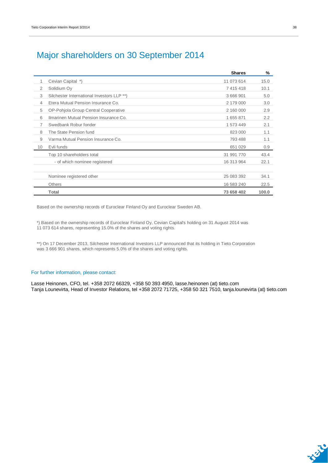### Major shareholders on 30 September 2014

|                |                                            | <b>Shares</b> | %     |
|----------------|--------------------------------------------|---------------|-------|
| 1              | Cevian Capital *)                          | 11 073 614    | 15.0  |
| $\overline{2}$ | Solidium Oy                                | 7 415 418     | 10.1  |
| 3              | Silchester International Investors LLP **) | 3 666 901     | 5.0   |
| 4              | Etera Mutual Pension Insurance Co.         | 2 179 000     | 3.0   |
| 5              | OP-Pohjola Group Central Cooperative       | 2 160 000     | 2.9   |
| 6              | Ilmarinen Mutual Pension Insurance Co.     | 1 655 871     | 2.2   |
| 7              | Swedbank Robur fonder                      | 1 573 449     | 2.1   |
| 8              | The State Pension fund                     | 823 000       | 1.1   |
| 9              | Varma Mutual Pension Insurance Co.         | 793 488       | 1.1   |
| 10             | Evli funds                                 | 651 029       | 0.9   |
|                | Top 10 shareholders total                  | 31 991 770    | 43.4  |
|                | - of which nominee registered              | 16 313 964    | 22.1  |
|                |                                            |               |       |
|                | Nominee registered other                   | 25 083 392    | 34.1  |
|                | <b>Others</b>                              | 16 583 240    | 22.5  |
|                | <b>Total</b>                               | 73 658 402    | 100.0 |

Based on the ownership records of Euroclear Finland Oy and Euroclear Sweden AB.

\*) Based on the ownership records of Euroclear Finland Oy, Cevian Capital's holding on 31 August 2014 was 11 073 614 shares, representing 15.0% of the shares and voting rights.

\*\*) On 17 December 2013, Silchester International Investors LLP announced that its holding in Tieto Corporation was 3 666 901 shares, which represents 5.0% of the shares and voting rights.

#### For further information, please contact:

Lasse Heinonen, CFO, tel. +358 2072 66329, +358 50 393 4950, lasse.heinonen (at) tieto.com Tanja Lounevirta, Head of Investor Relations, tel +358 2072 71725, +358 50 321 7510, tanja.lounevirta (at) tieto.com

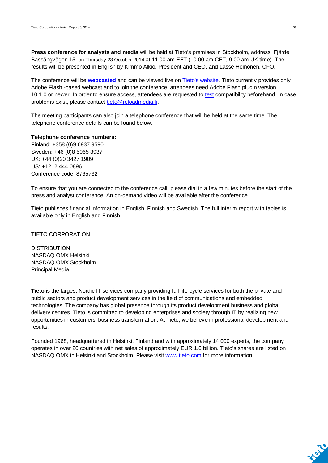**Press conference for analysts and media** will be held at Tieto's premises in Stockholm, address: Fjärde Bassängvägen 15, on Thursday 23 October 2014 at 11.00 am EET (10.00 am CET, 9.00 am UK time). The results will be presented in English by Kimmo Alkio, President and CEO, and Lasse Heinonen, CFO.

The conference will be **[webcasted](http://webcast.tieto.com/quarterlyreport/?q=231014)** and can be viewed live on [Tieto's website.](http://www.tieto.com/investors) Tieto currently provides only Adobe Flash -based webcast and to join the conference, attendees need Adobe Flash plugin version 10.1.0 or newer. In order to ensure access, attendees are requested to [test](http://webcast.tieto.com/flashscore/?video=S201403121637170) compatibility beforehand. In case problems exist, please contact [tieto@reloadmedia.fi.](mailto:tieto@reloadmedia.fi)

The meeting participants can also join a telephone conference that will be held at the same time. The telephone conference details can be found below.

#### **Telephone conference numbers:**

Finland: +358 (0)9 6937 9590 Sweden: +46 (0)8 5065 3937 UK: +44 (0)20 3427 1909 US: +1212 444 0896 Conference code: 8765732

To ensure that you are connected to the conference call, please dial in a few minutes before the start of the press and analyst conference. An on-demand video will be available after the conference.

Tieto publishes financial information in English, Finnish and Swedish. The full interim report with tables is available only in English and Finnish.

#### TIETO CORPORATION

**DISTRIBUTION** NASDAQ OMX Helsinki NASDAQ OMX Stockholm Principal Media

**Tieto** is the largest Nordic IT services company providing full life-cycle services for both the private and public sectors and product development services in the field of communications and embedded technologies. The company has global presence through its product development business and global delivery centres. Tieto is committed to developing enterprises and society through IT by realizing new opportunities in customers' business transformation. At Tieto, we believe in professional development and results.

Founded 1968, headquartered in Helsinki, Finland and with approximately 14 000 experts, the company operates in over 20 countries with net sales of approximately EUR 1.6 billion. Tieto's shares are listed on NASDAQ OMX in Helsinki and Stockholm. Please visit [www.tieto.com](http://www.tieto.com/) for more information.